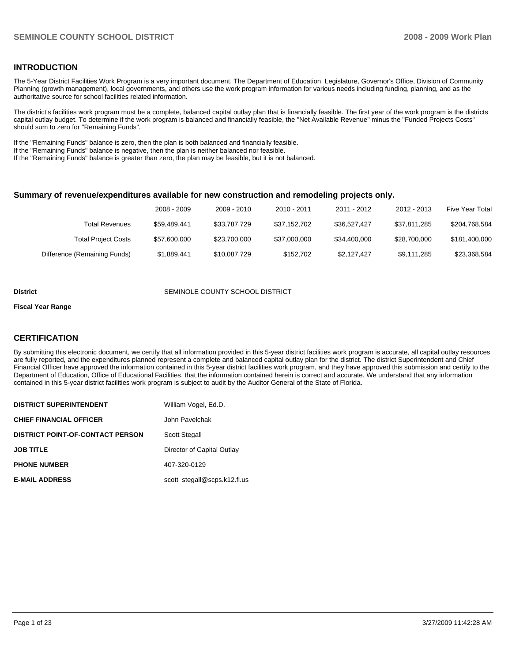### **INTRODUCTION**

The 5-Year District Facilities Work Program is a very important document. The Department of Education, Legislature, Governor's Office, Division of Community Planning (growth management), local governments, and others use the work program information for various needs including funding, planning, and as the authoritative source for school facilities related information.

The district's facilities work program must be a complete, balanced capital outlay plan that is financially feasible. The first year of the work program is the districts capital outlay budget. To determine if the work program is balanced and financially feasible, the "Net Available Revenue" minus the "Funded Projects Costs" should sum to zero for "Remaining Funds".

If the "Remaining Funds" balance is zero, then the plan is both balanced and financially feasible.

If the "Remaining Funds" balance is negative, then the plan is neither balanced nor feasible.

If the "Remaining Funds" balance is greater than zero, the plan may be feasible, but it is not balanced.

#### **Summary of revenue/expenditures available for new construction and remodeling projects only.**

|                              | 2008 - 2009  | 2009 - 2010  | 2010 - 2011  | 2011 - 2012  | 2012 - 2013  | Five Year Total |
|------------------------------|--------------|--------------|--------------|--------------|--------------|-----------------|
| <b>Total Revenues</b>        | \$59.489.441 | \$33.787.729 | \$37.152.702 | \$36.527.427 | \$37.811.285 | \$204,768,584   |
| <b>Total Project Costs</b>   | \$57,600,000 | \$23.700.000 | \$37,000,000 | \$34.400.000 | \$28.700.000 | \$181,400,000   |
| Difference (Remaining Funds) | \$1,889,441  | \$10,087,729 | \$152.702    | \$2,127,427  | \$9,111,285  | \$23,368,584    |

#### **District COUNTY SEMINOLE COUNTY SCHOOL DISTRICT**

#### **Fiscal Year Range**

#### **CERTIFICATION**

By submitting this electronic document, we certify that all information provided in this 5-year district facilities work program is accurate, all capital outlay resources are fully reported, and the expenditures planned represent a complete and balanced capital outlay plan for the district. The district Superintendent and Chief Financial Officer have approved the information contained in this 5-year district facilities work program, and they have approved this submission and certify to the Department of Education, Office of Educational Facilities, that the information contained herein is correct and accurate. We understand that any information contained in this 5-year district facilities work program is subject to audit by the Auditor General of the State of Florida.

| <b>DISTRICT SUPERINTENDENT</b>          | William Vogel, Ed.D.         |
|-----------------------------------------|------------------------------|
| <b>CHIEF FINANCIAL OFFICER</b>          | John Pavelchak               |
| <b>DISTRICT POINT-OF-CONTACT PERSON</b> | <b>Scott Stegall</b>         |
| <b>JOB TITLE</b>                        | Director of Capital Outlay   |
| <b>PHONE NUMBER</b>                     | 407-320-0129                 |
| <b>E-MAIL ADDRESS</b>                   | scott stegall@scps.k12.fl.us |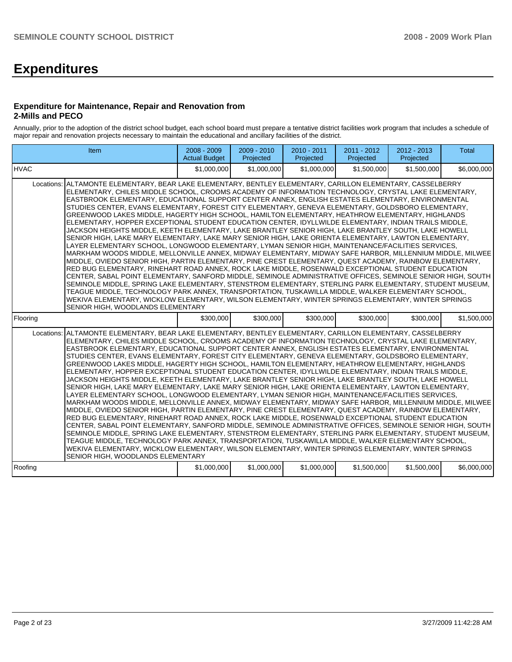# **Expenditures**

#### **Expenditure for Maintenance, Repair and Renovation from 2-Mills and PECO**

Annually, prior to the adoption of the district school budget, each school board must prepare a tentative district facilities work program that includes a schedule of major repair and renovation projects necessary to maintain the educational and ancillary facilities of the district.

| Item                                                                                                                                                                                                                                                                                                                                                                                                                                                                                                                                                                                                                                                                                                                                                                                                                                                                                                                                                                                                                                                                                                                                                                                                                                                                                                                                                                                                                                                                                                                                                                                                                                                                                                                                                                               | $2008 - 2009$<br><b>Actual Budget</b> | 2009 - 2010<br>Projected | 2010 - 2011<br>Projected | 2011 - 2012<br>Projected | 2012 - 2013<br>Projected | <b>Total</b> |
|------------------------------------------------------------------------------------------------------------------------------------------------------------------------------------------------------------------------------------------------------------------------------------------------------------------------------------------------------------------------------------------------------------------------------------------------------------------------------------------------------------------------------------------------------------------------------------------------------------------------------------------------------------------------------------------------------------------------------------------------------------------------------------------------------------------------------------------------------------------------------------------------------------------------------------------------------------------------------------------------------------------------------------------------------------------------------------------------------------------------------------------------------------------------------------------------------------------------------------------------------------------------------------------------------------------------------------------------------------------------------------------------------------------------------------------------------------------------------------------------------------------------------------------------------------------------------------------------------------------------------------------------------------------------------------------------------------------------------------------------------------------------------------|---------------------------------------|--------------------------|--------------------------|--------------------------|--------------------------|--------------|
| <b>IHVAC</b>                                                                                                                                                                                                                                                                                                                                                                                                                                                                                                                                                                                                                                                                                                                                                                                                                                                                                                                                                                                                                                                                                                                                                                                                                                                                                                                                                                                                                                                                                                                                                                                                                                                                                                                                                                       | \$1.000.000                           | \$1,000,000              | \$1,000,000              | \$1,500,000              | \$1,500,000              | \$6,000,000  |
| ALTAMONTE ELEMENTARY, BEAR LAKE ELEMENTARY, BENTLEY ELEMENTARY, CARILLON ELEMENTARY, CASSELBERRY<br>Locations:<br>ELEMENTARY, CHILES MIDDLE SCHOOL, CROOMS ACADEMY OF INFORMATION TECHNOLOGY, CRYSTAL LAKE ELEMENTARY,<br>EASTBROOK ELEMENTARY, EDUCATIONAL SUPPORT CENTER ANNEX, ENGLISH ESTATES ELEMENTARY, ENVIRONMENTAL<br>STUDIES CENTER, EVANS ELEMENTARY, FOREST CITY ELEMENTARY, GENEVA ELEMENTARY, GOLDSBORO ELEMENTARY,<br>GREENWOOD LAKES MIDDLE, HAGERTY HIGH SCHOOL, HAMILTON ELEMENTARY, HEATHROW ELEMENTARY, HIGHLANDS<br>ELEMENTARY, HOPPER EXCEPTIONAL STUDENT EDUCATION CENTER, IDYLLWILDE ELEMENTARY, INDIAN TRAILS MIDDLE,<br>JACKSON HEIGHTS MIDDLE, KEETH ELEMENTARY, LAKE BRANTLEY SENIOR HIGH, LAKE BRANTLEY SOUTH, LAKE HOWELL<br>SENIOR HIGH, LAKE MARY ELEMENTARY, LAKE MARY SENIOR HIGH, LAKE ORIENTA ELEMENTARY, LAWTON ELEMENTARY,<br>LAYER ELEMENTARY SCHOOL, LONGWOOD ELEMENTARY, LYMAN SENIOR HIGH, MAINTENANCE/FACILITIES SERVICES,<br>MARKHAM WOODS MIDDLE, MELLONVILLE ANNEX, MIDWAY ELEMENTARY, MIDWAY SAFE HARBOR, MILLENNIUM MIDDLE, MILWEE<br>MIDDLE, OVIEDO SENIOR HIGH, PARTIN ELEMENTARY, PINE CREST ELEMENTARY, QUEST ACADEMY, RAINBOW ELEMENTARY,<br>RED BUG ELEMENTARY, RINEHART ROAD ANNEX, ROCK LAKE MIDDLE, ROSENWALD EXCEPTIONAL STUDENT EDUCATION<br>CENTER, SABAL POINT ELEMENTARY, SANFORD MIDDLE, SEMINOLE ADMINISTRATIVE OFFICES, SEMINOLE SENIOR HIGH, SOUTH<br>SEMINOLE MIDDLE, SPRING LAKE ELEMENTARY, STENSTROM ELEMENTARY, STERLING PARK ELEMENTARY, STUDENT MUSEUM,<br>TEAGUE MIDDLE. TECHNOLOGY PARK ANNEX. TRANSPORTATION. TUSKAWILLA MIDDLE. WALKER ELEMENTARY SCHOOL.<br>WEKIVA ELEMENTARY, WICKLOW ELEMENTARY, WILSON ELEMENTARY, WINTER SPRINGS ELEMENTARY, WINTER SPRINGS<br>SENIOR HIGH, WOODLANDS ELEMENTARY |                                       |                          |                          |                          |                          |              |
| Flooring                                                                                                                                                                                                                                                                                                                                                                                                                                                                                                                                                                                                                                                                                                                                                                                                                                                                                                                                                                                                                                                                                                                                                                                                                                                                                                                                                                                                                                                                                                                                                                                                                                                                                                                                                                           | \$300,000                             | \$300,000                | \$300,000                | \$300,000                | \$300,000                | \$1,500,000  |
| ALTAMONTE ELEMENTARY, BEAR LAKE ELEMENTARY, BENTLEY ELEMENTARY, CARILLON ELEMENTARY, CASSELBERRY<br>Locations:<br>ELEMENTARY, CHILES MIDDLE SCHOOL, CROOMS ACADEMY OF INFORMATION TECHNOLOGY, CRYSTAL LAKE ELEMENTARY,<br>EASTBROOK ELEMENTARY, EDUCATIONAL SUPPORT CENTER ANNEX, ENGLISH ESTATES ELEMENTARY, ENVIRONMENTAL<br>STUDIES CENTER, EVANS ELEMENTARY, FOREST CITY ELEMENTARY, GENEVA ELEMENTARY, GOLDSBORO ELEMENTARY,<br>GREENWOOD LAKES MIDDLE, HAGERTY HIGH SCHOOL, HAMILTON ELEMENTARY, HEATHROW ELEMENTARY, HIGHLANDS<br>ELEMENTARY, HOPPER EXCEPTIONAL STUDENT EDUCATION CENTER, IDYLLWILDE ELEMENTARY, INDIAN TRAILS MIDDLE,<br>JACKSON HEIGHTS MIDDLE, KEETH ELEMENTARY, LAKE BRANTLEY SENIOR HIGH, LAKE BRANTLEY SOUTH, LAKE HOWELL<br>SENIOR HIGH, LAKE MARY ELEMENTARY, LAKE MARY SENIOR HIGH, LAKE ORIENTA ELEMENTARY, LAWTON ELEMENTARY,<br>LAYER ELEMENTARY SCHOOL, LONGWOOD ELEMENTARY, LYMAN SENIOR HIGH, MAINTENANCE/FACILITIES SERVICES,<br>MARKHAM WOODS MIDDLE, MELLONVILLE ANNEX, MIDWAY ELEMENTARY, MIDWAY SAFE HARBOR, MILLENNIUM MIDDLE, MILWEE<br>MIDDLE, OVIEDO SENIOR HIGH, PARTIN ELEMENTARY, PINE CREST ELEMENTARY, QUEST ACADEMY, RAINBOW ELEMENTARY,<br>RED BUG ELEMENTARY, RINEHART ROAD ANNEX, ROCK LAKE MIDDLE, ROSENWALD EXCEPTIONAL STUDENT EDUCATION<br>CENTER, SABAL POINT ELEMENTARY, SANFORD MIDDLE, SEMINOLE ADMINISTRATIVE OFFICES, SEMINOLE SENIOR HIGH, SOUTH<br>SEMINOLE MIDDLE, SPRING LAKE ELEMENTARY, STENSTROM ELEMENTARY, STERLING PARK ELEMENTARY, STUDENT MUSEUM,<br>TEAGUE MIDDLE, TECHNOLOGY PARK ANNEX, TRANSPORTATION, TUSKAWILLA MIDDLE, WALKER ELEMENTARY SCHOOL,<br>WEKIVA ELEMENTARY, WICKLOW ELEMENTARY, WILSON ELEMENTARY, WINTER SPRINGS ELEMENTARY, WINTER SPRINGS<br>SENIOR HIGH, WOODLANDS ELEMENTARY |                                       |                          |                          |                          |                          |              |
| Roofing                                                                                                                                                                                                                                                                                                                                                                                                                                                                                                                                                                                                                                                                                                                                                                                                                                                                                                                                                                                                                                                                                                                                                                                                                                                                                                                                                                                                                                                                                                                                                                                                                                                                                                                                                                            | \$1,000,000                           | \$1,000,000              | \$1,000,000              | \$1,500,000              | \$1,500,000              | \$6,000,000  |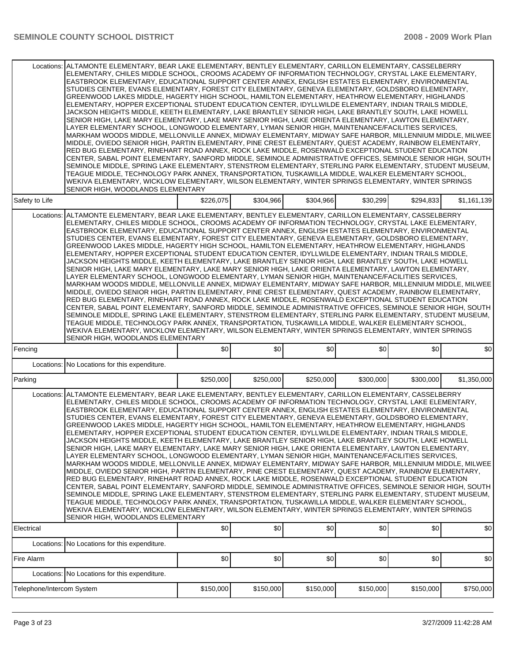|                           | Locations: ALTAMONTE ELEMENTARY, BEAR LAKE ELEMENTARY, BENTLEY ELEMENTARY, CARILLON ELEMENTARY, CASSELBERRY<br>ELEMENTARY, CHILES MIDDLE SCHOOL, CROOMS ACADEMY OF INFORMATION TECHNOLOGY, CRYSTAL LAKE ELEMENTARY,<br>EASTBROOK ELEMENTARY, EDUCATIONAL SUPPORT CENTER ANNEX, ENGLISH ESTATES ELEMENTARY, ENVIRONMENTAL<br>STUDIES CENTER, EVANS ELEMENTARY, FOREST CITY ELEMENTARY, GENEVA ELEMENTARY, GOLDSBORO ELEMENTARY,<br>GREENWOOD LAKES MIDDLE, HAGERTY HIGH SCHOOL, HAMILTON ELEMENTARY, HEATHROW ELEMENTARY, HIGHLANDS<br>ELEMENTARY, HOPPER EXCEPTIONAL STUDENT EDUCATION CENTER, IDYLLWILDE ELEMENTARY, INDIAN TRAILS MIDDLE,<br>JACKSON HEIGHTS MIDDLE. KEETH ELEMENTARY. LAKE BRANTLEY SENIOR HIGH. LAKE BRANTLEY SOUTH. LAKE HOWELL<br>SENIOR HIGH, LAKE MARY ELEMENTARY, LAKE MARY SENIOR HIGH, LAKE ORIENTA ELEMENTARY, LAWTON ELEMENTARY,<br>LAYER ELEMENTARY SCHOOL, LONGWOOD ELEMENTARY, LYMAN SENIOR HIGH, MAINTENANCE/FACILITIES SERVICES,<br>MARKHAM WOODS MIDDLE, MELLONVILLE ANNEX, MIDWAY ELEMENTARY, MIDWAY SAFE HARBOR, MILLENNIUM MIDDLE, MILWEE<br>MIDDLE, OVIEDO SENIOR HIGH, PARTIN ELEMENTARY, PINE CREST ELEMENTARY, QUEST ACADEMY, RAINBOW ELEMENTARY,<br>RED BUG ELEMENTARY, RINEHART ROAD ANNEX, ROCK LAKE MIDDLE, ROSENWALD EXCEPTIONAL STUDENT EDUCATION<br>CENTER, SABAL POINT ELEMENTARY, SANFORD MIDDLE, SEMINOLE ADMINISTRATIVE OFFICES, SEMINOLE SENIOR HIGH, SOUTH<br>SEMINOLE MIDDLE, SPRING LAKE ELEMENTARY, STENSTROM ELEMENTARY, STERLING PARK ELEMENTARY, STUDENT MUSEUM,<br>TEAGUE MIDDLE, TECHNOLOGY PARK ANNEX, TRANSPORTATION, TUSKAWILLA MIDDLE, WALKER ELEMENTARY SCHOOL,<br>WEKIVA ELEMENTARY, WICKLOW ELEMENTARY, WILSON ELEMENTARY, WINTER SPRINGS ELEMENTARY, WINTER SPRINGS<br>SENIOR HIGH, WOODLANDS ELEMENTARY     |           |           |           |           |           |             |  |  |  |  |  |
|---------------------------|-------------------------------------------------------------------------------------------------------------------------------------------------------------------------------------------------------------------------------------------------------------------------------------------------------------------------------------------------------------------------------------------------------------------------------------------------------------------------------------------------------------------------------------------------------------------------------------------------------------------------------------------------------------------------------------------------------------------------------------------------------------------------------------------------------------------------------------------------------------------------------------------------------------------------------------------------------------------------------------------------------------------------------------------------------------------------------------------------------------------------------------------------------------------------------------------------------------------------------------------------------------------------------------------------------------------------------------------------------------------------------------------------------------------------------------------------------------------------------------------------------------------------------------------------------------------------------------------------------------------------------------------------------------------------------------------------------------------------------------------------------------------------------------|-----------|-----------|-----------|-----------|-----------|-------------|--|--|--|--|--|
| Safety to Life            |                                                                                                                                                                                                                                                                                                                                                                                                                                                                                                                                                                                                                                                                                                                                                                                                                                                                                                                                                                                                                                                                                                                                                                                                                                                                                                                                                                                                                                                                                                                                                                                                                                                                                                                                                                                     | \$226,075 | \$304,966 | \$304,966 | \$30,299  | \$294,833 | \$1,161,139 |  |  |  |  |  |
|                           | Locations:   ALTAMONTE ELEMENTARY, BEAR LAKE ELEMENTARY, BENTLEY ELEMENTARY, CARILLON ELEMENTARY, CASSELBERRY<br>ELEMENTARY, CHILES MIDDLE SCHOOL, CROOMS ACADEMY OF INFORMATION TECHNOLOGY, CRYSTAL LAKE ELEMENTARY,<br>EASTBROOK ELEMENTARY, EDUCATIONAL SUPPORT CENTER ANNEX, ENGLISH ESTATES ELEMENTARY, ENVIRONMENTAL<br>STUDIES CENTER, EVANS ELEMENTARY, FOREST CITY ELEMENTARY, GENEVA ELEMENTARY, GOLDSBORO ELEMENTARY,<br>GREENWOOD LAKES MIDDLE, HAGERTY HIGH SCHOOL, HAMILTON ELEMENTARY, HEATHROW ELEMENTARY, HIGHLANDS<br>ELEMENTARY, HOPPER EXCEPTIONAL STUDENT EDUCATION CENTER, IDYLLWILDE ELEMENTARY, INDIAN TRAILS MIDDLE.<br>JACKSON HEIGHTS MIDDLE, KEETH ELEMENTARY, LAKE BRANTLEY SENIOR HIGH, LAKE BRANTLEY SOUTH, LAKE HOWELL<br>SENIOR HIGH, LAKE MARY ELEMENTARY, LAKE MARY SENIOR HIGH, LAKE ORIENTA ELEMENTARY, LAWTON ELEMENTARY,<br>LAYER ELEMENTARY SCHOOL, LONGWOOD ELEMENTARY, LYMAN SENIOR HIGH, MAINTENANCE/FACILITIES SERVICES.<br>MARKHAM WOODS MIDDLE, MELLONVILLE ANNEX, MIDWAY ELEMENTARY, MIDWAY SAFE HARBOR, MILLENNIUM MIDDLE, MILWEE<br>MIDDLE, OVIEDO SENIOR HIGH, PARTIN ELEMENTARY, PINE CREST ELEMENTARY, QUEST ACADEMY, RAINBOW ELEMENTARY,<br>RED BUG ELEMENTARY, RINEHART ROAD ANNEX, ROCK LAKE MIDDLE, ROSENWALD EXCEPTIONAL STUDENT EDUCATION<br>CENTER, SABAL POINT ELEMENTARY, SANFORD MIDDLE, SEMINOLE ADMINISTRATIVE OFFICES, SEMINOLE SENIOR HIGH, SOUTH<br>SEMINOLE MIDDLE, SPRING LAKE ELEMENTARY, STENSTROM ELEMENTARY, STERLING PARK ELEMENTARY, STUDENT MUSEUM,<br>TEAGUE MIDDLE, TECHNOLOGY PARK ANNEX, TRANSPORTATION, TUSKAWILLA MIDDLE, WALKER ELEMENTARY SCHOOL,<br>WEKIVA ELEMENTARY, WICKLOW ELEMENTARY, WILSON ELEMENTARY, WINTER SPRINGS ELEMENTARY, WINTER SPRINGS<br>SENIOR HIGH, WOODLANDS ELEMENTARY   |           |           |           |           |           |             |  |  |  |  |  |
| Fencing                   |                                                                                                                                                                                                                                                                                                                                                                                                                                                                                                                                                                                                                                                                                                                                                                                                                                                                                                                                                                                                                                                                                                                                                                                                                                                                                                                                                                                                                                                                                                                                                                                                                                                                                                                                                                                     | \$0       | \$0       | \$0       | \$0       | \$0       | \$0         |  |  |  |  |  |
|                           | Locations: No Locations for this expenditure.                                                                                                                                                                                                                                                                                                                                                                                                                                                                                                                                                                                                                                                                                                                                                                                                                                                                                                                                                                                                                                                                                                                                                                                                                                                                                                                                                                                                                                                                                                                                                                                                                                                                                                                                       |           |           |           |           |           |             |  |  |  |  |  |
| Parking                   |                                                                                                                                                                                                                                                                                                                                                                                                                                                                                                                                                                                                                                                                                                                                                                                                                                                                                                                                                                                                                                                                                                                                                                                                                                                                                                                                                                                                                                                                                                                                                                                                                                                                                                                                                                                     | \$250,000 | \$250,000 | \$250,000 | \$300,000 | \$300,000 | \$1,350,000 |  |  |  |  |  |
|                           | Locations:   ALTAMONTE ELEMENTARY, BEAR LAKE ELEMENTARY, BENTLEY ELEMENTARY, CARILLON ELEMENTARY, CASSELBERRY<br>ELEMENTARY, CHILES MIDDLE SCHOOL, CROOMS ACADEMY OF INFORMATION TECHNOLOGY, CRYSTAL LAKE ELEMENTARY,<br>EASTBROOK ELEMENTARY, EDUCATIONAL SUPPORT CENTER ANNEX, ENGLISH ESTATES ELEMENTARY, ENVIRONMENTAL<br>STUDIES CENTER, EVANS ELEMENTARY, FOREST CITY ELEMENTARY, GENEVA ELEMENTARY, GOLDSBORO ELEMENTARY,<br>GREENWOOD LAKES MIDDLE, HAGERTY HIGH SCHOOL, HAMILTON ELEMENTARY, HEATHROW ELEMENTARY, HIGHLANDS<br>ELEMENTARY, HOPPER EXCEPTIONAL STUDENT EDUCATION CENTER, IDYLLWILDE ELEMENTARY, INDIAN TRAILS MIDDLE,<br>JACKSON HEIGHTS MIDDLE, KEETH ELEMENTARY, LAKE BRANTLEY SENIOR HIGH, LAKE BRANTLEY SOUTH, LAKE HOWELL<br>SENIOR HIGH, LAKE MARY ELEMENTARY, LAKE MARY SENIOR HIGH, LAKE ORIENTA ELEMENTARY, LAWTON ELEMENTARY,<br>LAYER ELEMENTARY SCHOOL, LONGWOOD ELEMENTARY, LYMAN SENIOR HIGH, MAINTENANCE/FACILITIES SERVICES,<br>MARKHAM WOODS MIDDLE, MELLONVILLE ANNEX, MIDWAY ELEMENTARY, MIDWAY SAFE HARBOR, MILLENNIUM MIDDLE, MILWEE<br>MIDDLE, OVIEDO SENIOR HIGH, PARTIN ELEMENTARY, PINE CREST ELEMENTARY, QUEST ACADEMY, RAINBOW ELEMENTARY,<br>RED BUG ELEMENTARY, RINEHART ROAD ANNEX, ROCK LAKE MIDDLE, ROSENWALD EXCEPTIONAL STUDENT EDUCATION<br>CENTER, SABAL POINT ELEMENTARY, SANFORD MIDDLE, SEMINOLE ADMINISTRATIVE OFFICES, SEMINOLE SENIOR HIGH, SOUTH  <br>SEMINOLE MIDDLE, SPRING LAKE ELEMENTARY, STENSTROM ELEMENTARY, STERLING PARK ELEMENTARY, STUDENT MUSEUM,<br>TEAGUE MIDDLE, TECHNOLOGY PARK ANNEX, TRANSPORTATION, TUSKAWILLA MIDDLE, WALKER ELEMENTARY SCHOOL,<br>WEKIVA ELEMENTARY, WICKLOW ELEMENTARY, WILSON ELEMENTARY, WINTER SPRINGS ELEMENTARY, WINTER SPRINGS<br>SENIOR HIGH, WOODLANDS ELEMENTARY |           |           |           |           |           |             |  |  |  |  |  |
| Electrical                |                                                                                                                                                                                                                                                                                                                                                                                                                                                                                                                                                                                                                                                                                                                                                                                                                                                                                                                                                                                                                                                                                                                                                                                                                                                                                                                                                                                                                                                                                                                                                                                                                                                                                                                                                                                     | \$0       | \$0       | \$0       | \$0       | \$0       | \$0         |  |  |  |  |  |
|                           | Locations: No Locations for this expenditure.                                                                                                                                                                                                                                                                                                                                                                                                                                                                                                                                                                                                                                                                                                                                                                                                                                                                                                                                                                                                                                                                                                                                                                                                                                                                                                                                                                                                                                                                                                                                                                                                                                                                                                                                       |           |           |           |           |           |             |  |  |  |  |  |
| Fire Alarm                |                                                                                                                                                                                                                                                                                                                                                                                                                                                                                                                                                                                                                                                                                                                                                                                                                                                                                                                                                                                                                                                                                                                                                                                                                                                                                                                                                                                                                                                                                                                                                                                                                                                                                                                                                                                     | \$0       | \$0       | \$0       | \$0       | \$0       | \$0         |  |  |  |  |  |
|                           | Locations: No Locations for this expenditure.                                                                                                                                                                                                                                                                                                                                                                                                                                                                                                                                                                                                                                                                                                                                                                                                                                                                                                                                                                                                                                                                                                                                                                                                                                                                                                                                                                                                                                                                                                                                                                                                                                                                                                                                       |           |           |           |           |           |             |  |  |  |  |  |
| Telephone/Intercom System |                                                                                                                                                                                                                                                                                                                                                                                                                                                                                                                                                                                                                                                                                                                                                                                                                                                                                                                                                                                                                                                                                                                                                                                                                                                                                                                                                                                                                                                                                                                                                                                                                                                                                                                                                                                     | \$150,000 | \$150,000 | \$150,000 | \$150,000 | \$150,000 | \$750,000   |  |  |  |  |  |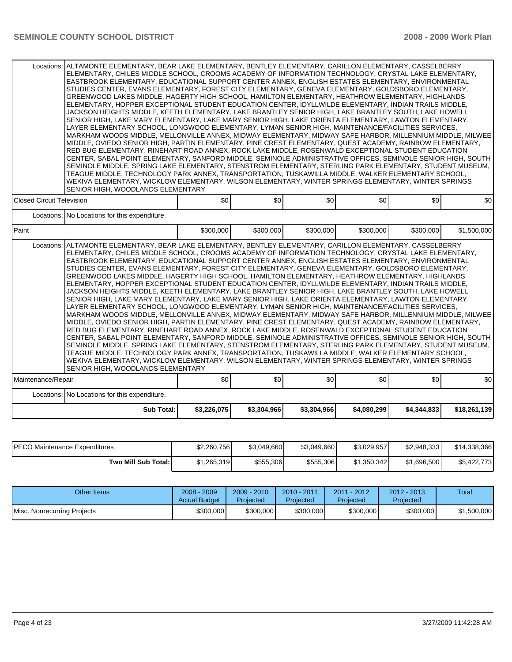|                                                                                                                                                                                                                                                                                                                                                                                                                                                                                                                                                                                                                                                                                                                                                                                                                                                                                                                                                                                                                                                                                                                                                                                                                                                                                                                                                                                                                                                                                                                                                                                                                                                                                                                                                                                                       | Locations: ALTAMONTE ELEMENTARY, BEAR LAKE ELEMENTARY, BENTLEY ELEMENTARY, CARILLON ELEMENTARY, CASSELBERRY<br>ELEMENTARY, CHILES MIDDLE SCHOOL, CROOMS ACADEMY OF INFORMATION TECHNOLOGY, CRYSTAL LAKE ELEMENTARY,<br>EASTBROOK ELEMENTARY, EDUCATIONAL SUPPORT CENTER ANNEX, ENGLISH ESTATES ELEMENTARY, ENVIRONMENTAL<br>STUDIES CENTER, EVANS ELEMENTARY, FOREST CITY ELEMENTARY, GENEVA ELEMENTARY, GOLDSBORO ELEMENTARY,<br>GREENWOOD LAKES MIDDLE, HAGERTY HIGH SCHOOL, HAMILTON ELEMENTARY, HEATHROW ELEMENTARY, HIGHLANDS<br>ELEMENTARY, HOPPER EXCEPTIONAL STUDENT EDUCATION CENTER, IDYLLWILDE ELEMENTARY, INDIAN TRAILS MIDDLE.<br>JACKSON HEIGHTS MIDDLE, KEETH ELEMENTARY, LAKE BRANTLEY SENIOR HIGH, LAKE BRANTLEY SOUTH, LAKE HOWELL<br>SENIOR HIGH, LAKE MARY ELEMENTARY, LAKE MARY SENIOR HIGH, LAKE ORIENTA ELEMENTARY, LAWTON ELEMENTARY,<br>LAYER ELEMENTARY SCHOOL, LONGWOOD ELEMENTARY, LYMAN SENIOR HIGH, MAINTENANCE/FACILITIES SERVICES,<br>MARKHAM WOODS MIDDLE, MELLONVILLE ANNEX, MIDWAY ELEMENTARY, MIDWAY SAFE HARBOR, MILLENNIUM MIDDLE, MILWEE<br>MIDDLE, OVIEDO SENIOR HIGH, PARTIN ELEMENTARY, PINE CREST ELEMENTARY, QUEST ACADEMY, RAINBOW ELEMENTARY,<br>RED BUG ELEMENTARY, RINEHART ROAD ANNEX, ROCK LAKE MIDDLE, ROSENWALD EXCEPTIONAL STUDENT EDUCATION<br>CENTER, SABAL POINT ELEMENTARY, SANFORD MIDDLE, SEMINOLE ADMINISTRATIVE OFFICES, SEMINOLE SENIOR HIGH, SOUTH<br>SEMINOLE MIDDLE, SPRING LAKE ELEMENTARY, STENSTROM ELEMENTARY, STERLING PARK ELEMENTARY, STUDENT MUSEUM,<br>TEAGUE MIDDLE, TECHNOLOGY PARK ANNEX, TRANSPORTATION, TUSKAWILLA MIDDLE, WALKER ELEMENTARY SCHOOL,<br>WEKIVA ELEMENTARY, WICKLOW ELEMENTARY, WILSON ELEMENTARY, WINTER SPRINGS ELEMENTARY, WINTER SPRINGS<br>SENIOR HIGH, WOODLANDS ELEMENTARY |             |             |             |             |              |  |  |  |
|-------------------------------------------------------------------------------------------------------------------------------------------------------------------------------------------------------------------------------------------------------------------------------------------------------------------------------------------------------------------------------------------------------------------------------------------------------------------------------------------------------------------------------------------------------------------------------------------------------------------------------------------------------------------------------------------------------------------------------------------------------------------------------------------------------------------------------------------------------------------------------------------------------------------------------------------------------------------------------------------------------------------------------------------------------------------------------------------------------------------------------------------------------------------------------------------------------------------------------------------------------------------------------------------------------------------------------------------------------------------------------------------------------------------------------------------------------------------------------------------------------------------------------------------------------------------------------------------------------------------------------------------------------------------------------------------------------------------------------------------------------------------------------------------------------|---------------------------------------------------------------------------------------------------------------------------------------------------------------------------------------------------------------------------------------------------------------------------------------------------------------------------------------------------------------------------------------------------------------------------------------------------------------------------------------------------------------------------------------------------------------------------------------------------------------------------------------------------------------------------------------------------------------------------------------------------------------------------------------------------------------------------------------------------------------------------------------------------------------------------------------------------------------------------------------------------------------------------------------------------------------------------------------------------------------------------------------------------------------------------------------------------------------------------------------------------------------------------------------------------------------------------------------------------------------------------------------------------------------------------------------------------------------------------------------------------------------------------------------------------------------------------------------------------------------------------------------------------------------------------------------------------------------------------------------------------------------------------------|-------------|-------------|-------------|-------------|--------------|--|--|--|
| <b>Closed Circuit Television</b>                                                                                                                                                                                                                                                                                                                                                                                                                                                                                                                                                                                                                                                                                                                                                                                                                                                                                                                                                                                                                                                                                                                                                                                                                                                                                                                                                                                                                                                                                                                                                                                                                                                                                                                                                                      | \$0                                                                                                                                                                                                                                                                                                                                                                                                                                                                                                                                                                                                                                                                                                                                                                                                                                                                                                                                                                                                                                                                                                                                                                                                                                                                                                                                                                                                                                                                                                                                                                                                                                                                                                                                                                             | \$0         | \$0         | \$0         | \$0         | \$0          |  |  |  |
| Locations: No Locations for this expenditure.                                                                                                                                                                                                                                                                                                                                                                                                                                                                                                                                                                                                                                                                                                                                                                                                                                                                                                                                                                                                                                                                                                                                                                                                                                                                                                                                                                                                                                                                                                                                                                                                                                                                                                                                                         |                                                                                                                                                                                                                                                                                                                                                                                                                                                                                                                                                                                                                                                                                                                                                                                                                                                                                                                                                                                                                                                                                                                                                                                                                                                                                                                                                                                                                                                                                                                                                                                                                                                                                                                                                                                 |             |             |             |             |              |  |  |  |
| l Paint                                                                                                                                                                                                                                                                                                                                                                                                                                                                                                                                                                                                                                                                                                                                                                                                                                                                                                                                                                                                                                                                                                                                                                                                                                                                                                                                                                                                                                                                                                                                                                                                                                                                                                                                                                                               | \$300,000                                                                                                                                                                                                                                                                                                                                                                                                                                                                                                                                                                                                                                                                                                                                                                                                                                                                                                                                                                                                                                                                                                                                                                                                                                                                                                                                                                                                                                                                                                                                                                                                                                                                                                                                                                       | \$300,000   | \$300,000   | \$300,000   | \$300,000   | \$1,500,000  |  |  |  |
| Locations: ALTAMONTE ELEMENTARY, BEAR LAKE ELEMENTARY, BENTLEY ELEMENTARY, CARILLON ELEMENTARY, CASSELBERRY<br>ELEMENTARY, CHILES MIDDLE SCHOOL, CROOMS ACADEMY OF INFORMATION TECHNOLOGY, CRYSTAL LAKE ELEMENTARY,<br>EASTBROOK ELEMENTARY, EDUCATIONAL SUPPORT CENTER ANNEX, ENGLISH ESTATES ELEMENTARY, ENVIRONMENTAL<br>STUDIES CENTER, EVANS ELEMENTARY, FOREST CITY ELEMENTARY, GENEVA ELEMENTARY, GOLDSBORO ELEMENTARY,<br>GREENWOOD LAKES MIDDLE, HAGERTY HIGH SCHOOL, HAMILTON ELEMENTARY, HEATHROW ELEMENTARY, HIGHLANDS<br>ELEMENTARY, HOPPER EXCEPTIONAL STUDENT EDUCATION CENTER, IDYLLWILDE ELEMENTARY, INDIAN TRAILS MIDDLE,<br>JACKSON HEIGHTS MIDDLE, KEETH ELEMENTARY, LAKE BRANTLEY SENIOR HIGH, LAKE BRANTLEY SOUTH, LAKE HOWELL<br>SENIOR HIGH, LAKE MARY ELEMENTARY, LAKE MARY SENIOR HIGH, LAKE ORIENTA ELEMENTARY, LAWTON ELEMENTARY,<br>LAYER ELEMENTARY SCHOOL, LONGWOOD ELEMENTARY, LYMAN SENIOR HIGH, MAINTENANCE/FACILITIES SERVICES,<br>MARKHAM WOODS MIDDLE, MELLONVILLE ANNEX, MIDWAY ELEMENTARY, MIDWAY SAFE HARBOR, MILLENNIUM MIDDLE, MILWEE<br>MIDDLE, OVIEDO SENIOR HIGH, PARTIN ELEMENTARY, PINE CREST ELEMENTARY, QUEST ACADEMY, RAINBOW ELEMENTARY,<br>RED BUG ELEMENTARY, RINEHART ROAD ANNEX, ROCK LAKE MIDDLE, ROSENWALD EXCEPTIONAL STUDENT EDUCATION<br>CENTER, SABAL POINT ELEMENTARY, SANFORD MIDDLE, SEMINOLE ADMINISTRATIVE OFFICES, SEMINOLE SENIOR HIGH, SOUTH<br>SEMINOLE MIDDLE, SPRING LAKE ELEMENTARY, STENSTROM ELEMENTARY, STERLING PARK ELEMENTARY, STUDENT MUSEUM,<br>TEAGUE MIDDLE. TECHNOLOGY PARK ANNEX. TRANSPORTATION. TUSKAWILLA MIDDLE. WALKER ELEMENTARY SCHOOL.<br>WEKIVA ELEMENTARY, WICKLOW ELEMENTARY, WILSON ELEMENTARY, WINTER SPRINGS ELEMENTARY, WINTER SPRINGS<br>SENIOR HIGH, WOODLANDS ELEMENTARY<br>Maintenance/Repair | \$0                                                                                                                                                                                                                                                                                                                                                                                                                                                                                                                                                                                                                                                                                                                                                                                                                                                                                                                                                                                                                                                                                                                                                                                                                                                                                                                                                                                                                                                                                                                                                                                                                                                                                                                                                                             | \$0         | \$0         | \$0         | \$0         | \$0          |  |  |  |
| Locations: No Locations for this expenditure.                                                                                                                                                                                                                                                                                                                                                                                                                                                                                                                                                                                                                                                                                                                                                                                                                                                                                                                                                                                                                                                                                                                                                                                                                                                                                                                                                                                                                                                                                                                                                                                                                                                                                                                                                         |                                                                                                                                                                                                                                                                                                                                                                                                                                                                                                                                                                                                                                                                                                                                                                                                                                                                                                                                                                                                                                                                                                                                                                                                                                                                                                                                                                                                                                                                                                                                                                                                                                                                                                                                                                                 |             |             |             |             |              |  |  |  |
| <b>Sub Total:</b>                                                                                                                                                                                                                                                                                                                                                                                                                                                                                                                                                                                                                                                                                                                                                                                                                                                                                                                                                                                                                                                                                                                                                                                                                                                                                                                                                                                                                                                                                                                                                                                                                                                                                                                                                                                     | \$3,226,075                                                                                                                                                                                                                                                                                                                                                                                                                                                                                                                                                                                                                                                                                                                                                                                                                                                                                                                                                                                                                                                                                                                                                                                                                                                                                                                                                                                                                                                                                                                                                                                                                                                                                                                                                                     | \$3,304,966 | \$3,304,966 | \$4,080,299 | \$4,344,833 | \$18,261,139 |  |  |  |

| IPECO Maintenance Expenditures | \$2,260,756 | \$3,049,660 | \$3,049,660 | \$3,029,957 | \$2,948,333 | \$14,338,366 |
|--------------------------------|-------------|-------------|-------------|-------------|-------------|--------------|
| Two Mill Sub Total:            | \$1,265,319 | \$555,306   | \$555,306   | \$1,350,342 | \$1,696,500 | \$5,422,773  |

| Other Items                 | $2008 - 2009$<br><b>Actual Budget</b> | $2009 - 2010$<br>Projected | $2010 - 2011$<br>Projected | 2011 - 2012<br><b>Projected</b> | $2012 - 2013$<br>Projected | Total       |
|-----------------------------|---------------------------------------|----------------------------|----------------------------|---------------------------------|----------------------------|-------------|
| Misc. Nonrecurring Projects | \$300,000                             | \$300,000                  | \$300,000                  | \$300,000                       | \$300,000                  | \$1,500,000 |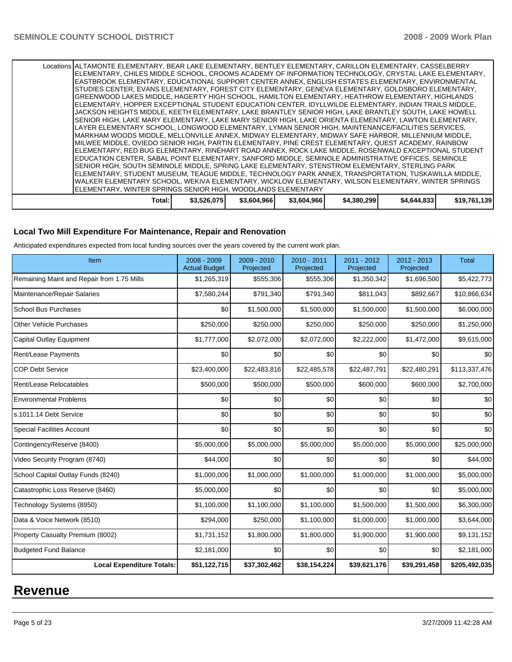|                                                                                                                                                                    | Total:                                                                                                                                                                                                    | \$3,526,075 | \$3,604,966 | \$3,604,966 | \$4,380,299 | \$4,644,833 | \$19,761,139 |  |  |
|--------------------------------------------------------------------------------------------------------------------------------------------------------------------|-----------------------------------------------------------------------------------------------------------------------------------------------------------------------------------------------------------|-------------|-------------|-------------|-------------|-------------|--------------|--|--|
| WALKER ELEMENTARY SCHOOL, WEKIVA ELEMENTARY, WICKLOW ELEMENTARY, WILSON ELEMENTARY, WINTER SPRINGS<br>ELEMENTARY, WINTER SPRINGS SENIOR HIGH, WOODLANDS ELEMENTARY |                                                                                                                                                                                                           |             |             |             |             |             |              |  |  |
|                                                                                                                                                                    | ELEMENTARY, STUDENT MUSEUM, TEAGUE MIDDLE, TECHNOLOGY PARK ANNEX, TRANSPORTATION, TUSKAWILLA MIDDLE,                                                                                                      |             |             |             |             |             |              |  |  |
|                                                                                                                                                                    | SENIOR HIGH, SOUTH SEMINOLE MIDDLE, SPRING LAKE ELEMENTARY, STENSTROM ELEMENTARY, STERLING PARK                                                                                                           |             |             |             |             |             |              |  |  |
|                                                                                                                                                                    | EDUCATION CENTER, SABAL POINT ELEMENTARY, SANFORD MIDDLE, SEMINOLE ADMINISTRATIVE OFFICES, SEMINOLE                                                                                                       |             |             |             |             |             |              |  |  |
|                                                                                                                                                                    | IELEMENTARY. RED BUG ELEMENTARY. RINEHART ROAD ANNEX. ROCK LAKE MIDDLE. ROSENWALD EXCEPTIONAL STUDENT                                                                                                     |             |             |             |             |             |              |  |  |
|                                                                                                                                                                    | MILWEE MIDDLE, OVIEDO SENIOR HIGH, PARTIN ELEMENTARY, PINE CREST ELEMENTARY, QUEST ACADEMY, RAINBOW                                                                                                       |             |             |             |             |             |              |  |  |
|                                                                                                                                                                    | MARKHAM WOODS MIDDLE, MELLONVILLE ANNEX, MIDWAY ELEMENTARY, MIDWAY SAFE HARBOR, MILLENNIUM MIDDLE,                                                                                                        |             |             |             |             |             |              |  |  |
|                                                                                                                                                                    | LAYER ELEMENTARY SCHOOL, LONGWOOD ELEMENTARY, LYMAN SENIOR HIGH, MAINTENANCE/FACILITIES SERVICES,                                                                                                         |             |             |             |             |             |              |  |  |
|                                                                                                                                                                    | SENIOR HIGH, LAKE MARY ELEMENTARY, LAKE MARY SENIOR HIGH, LAKE ORIENTA ELEMENTARY, LAWTON ELEMENTARY,                                                                                                     |             |             |             |             |             |              |  |  |
|                                                                                                                                                                    | JACKSON HEIGHTS MIDDLE. KEETH ELEMENTARY. LAKE BRANTLEY SENIOR HIGH. LAKE BRANTLEY SOUTH. LAKE HOWELL                                                                                                     |             |             |             |             |             |              |  |  |
|                                                                                                                                                                    | GREENWOOD LAKES MIDDLE. HAGERTY HIGH SCHOOL. HAMILTON ELEMENTARY. HEATHROW ELEMENTARY. HIGHLANDS<br>ELEMENTARY, HOPPER EXCEPTIONAL STUDENT EDUCATION CENTER, IDYLLWILDE ELEMENTARY, INDIAN TRAILS MIDDLE, |             |             |             |             |             |              |  |  |
|                                                                                                                                                                    | STUDIES CENTER, EVANS ELEMENTARY, FOREST CITY ELEMENTARY, GENEVA ELEMENTARY, GOLDSBORO ELEMENTARY,                                                                                                        |             |             |             |             |             |              |  |  |
|                                                                                                                                                                    | EASTBROOK ELEMENTARY, EDUCATIONAL SUPPORT CENTER ANNEX, ENGLISH ESTATES ELEMENTARY, ENVIRONMENTAL                                                                                                         |             |             |             |             |             |              |  |  |
|                                                                                                                                                                    | ELEMENTARY, CHILES MIDDLE SCHOOL, CROOMS ACADEMY OF INFORMATION TECHNOLOGY, CRYSTAL LAKE ELEMENTARY,                                                                                                      |             |             |             |             |             |              |  |  |
|                                                                                                                                                                    | Locations ALTAMONTE ELEMENTARY, BEAR LAKE ELEMENTARY, BENTLEY ELEMENTARY, CARILLON ELEMENTARY, CASSELBERRY                                                                                                |             |             |             |             |             |              |  |  |

### **Local Two Mill Expenditure For Maintenance, Repair and Renovation**

Anticipated expenditures expected from local funding sources over the years covered by the current work plan.

| Item                                       | 2008 - 2009<br><b>Actual Budget</b> | $2009 - 2010$<br>Projected | 2010 - 2011<br>Projected | 2011 - 2012<br>Projected | $2012 - 2013$<br>Projected | Total         |
|--------------------------------------------|-------------------------------------|----------------------------|--------------------------|--------------------------|----------------------------|---------------|
| Remaining Maint and Repair from 1.75 Mills | \$1,265,319                         | \$555,306                  | \$555,306                | \$1,350,342              | \$1,696,500                | \$5,422,773   |
| Maintenance/Repair Salaries                | \$7,580,244                         | \$791,340                  | \$791,340                | \$811,043                | \$892,667                  | \$10,866,634  |
| <b>School Bus Purchases</b>                | \$0                                 | \$1,500,000                | \$1,500,000              | \$1,500,000              | \$1,500,000                | \$6,000,000   |
| <b>Other Vehicle Purchases</b>             | \$250,000                           | \$250,000                  | \$250,000                | \$250,000                | \$250,000                  | \$1,250,000   |
| Capital Outlay Equipment                   | \$1,777,000                         | \$2,072,000                | \$2,072,000              | \$2,222,000              | \$1,472,000                | \$9,615,000   |
| Rent/Lease Payments                        | \$0                                 | \$0                        | \$0                      | \$0                      | \$0                        | \$0           |
| <b>COP Debt Service</b>                    | \$23,400,000                        | \$22,483,816               | \$22,485,578             | \$22,487,791             | \$22,480,291               | \$113,337,476 |
| Rent/Lease Relocatables                    | \$500,000                           | \$500,000                  | \$500,000                | \$600,000                | \$600,000                  | \$2,700,000   |
| <b>Environmental Problems</b>              | \$0                                 | \$0                        | \$0                      | \$0                      | \$0                        | \$0           |
| s.1011.14 Debt Service                     | \$0                                 | \$0                        | \$0                      | \$0                      | \$0                        | \$0           |
| <b>Special Facilities Account</b>          | \$0                                 | \$0                        | \$0                      | \$0                      | \$0                        | \$0           |
| Contingency/Reserve (8400)                 | \$5,000,000                         | \$5,000,000                | \$5,000,000              | \$5,000,000              | \$5,000,000                | \$25,000,000  |
| Video Security Program (8740)              | \$44,000                            | \$0                        | \$0                      | \$0                      | \$0                        | \$44,000      |
| School Capital Outlay Funds (8240)         | \$1,000,000                         | \$1,000,000                | \$1,000,000              | \$1,000,000              | \$1,000,000                | \$5,000,000   |
| Catastrophic Loss Reserve (8460)           | \$5,000,000                         | \$0                        | \$0                      | \$0                      | \$0                        | \$5,000,000   |
| Technology Systems (8950)                  | \$1,100,000                         | \$1,100,000                | \$1,100,000              | \$1,500,000              | \$1,500,000                | \$6,300,000   |
| Data & Voice Network (8510)                | \$294,000                           | \$250,000                  | \$1,100,000              | \$1,000,000              | \$1,000,000                | \$3,644,000   |
| Property Casualty Premium (8002)           | \$1,731,152                         | \$1,800,000                | \$1,800,000              | \$1,900,000              | \$1,900,000                | \$9,131,152   |
| <b>Budgeted Fund Balance</b>               | \$2,181,000                         | \$0                        | \$0                      | \$0                      | \$0                        | \$2,181,000   |
| <b>Local Expenditure Totals:</b>           | \$51,122,715                        | \$37,302,462               | \$38,154,224             | \$39,621,176             | \$39,291,458               | \$205,492,035 |

# **Revenue**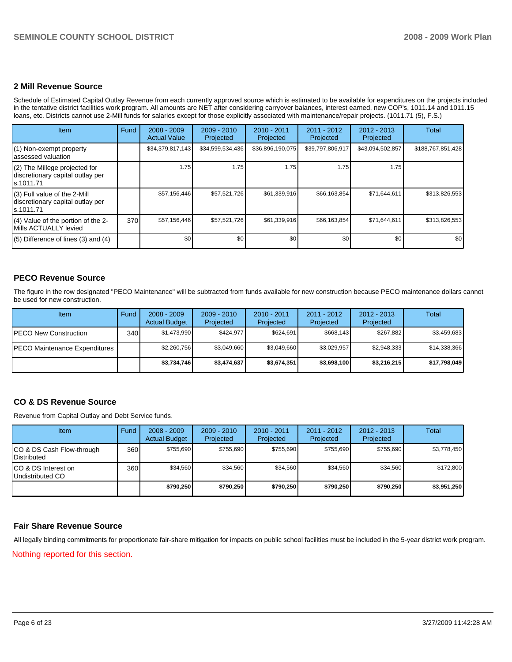#### **2 Mill Revenue Source**

Schedule of Estimated Capital Outlay Revenue from each currently approved source which is estimated to be available for expenditures on the projects included in the tentative district facilities work program. All amounts are NET after considering carryover balances, interest earned, new COP's, 1011.14 and 1011.15 loans, etc. Districts cannot use 2-Mill funds for salaries except for those explicitly associated with maintenance/repair projects. (1011.71 (5), F.S.)

| Item                                                                            | Fund | $2008 - 2009$<br><b>Actual Value</b> | $2009 - 2010$<br>Projected | $2010 - 2011$<br>Projected | $2011 - 2012$<br>Projected | $2012 - 2013$<br>Projected | Total             |
|---------------------------------------------------------------------------------|------|--------------------------------------|----------------------------|----------------------------|----------------------------|----------------------------|-------------------|
| (1) Non-exempt property<br>assessed valuation                                   |      | \$34,379,817,143                     | \$34,599,534,436           | \$36,896,190,075           | \$39,797,806,917           | \$43,094,502,857           | \$188,767,851,428 |
| (2) The Millege projected for<br>discretionary capital outlay per<br>ls.1011.71 |      | 1.75                                 | 1.75                       | 1.75                       | 1.75                       | 1.75                       |                   |
| (3) Full value of the 2-Mill<br>discretionary capital outlay per<br>ls.1011.71  |      | \$57,156,446                         | \$57,521,726               | \$61,339,916               | \$66,163,854               | \$71,644,611               | \$313,826,553     |
| (4) Value of the portion of the 2-<br>Mills ACTUALLY levied                     | 370  | \$57,156,446                         | \$57,521,726               | \$61,339,916               | \$66,163,854               | \$71,644,611               | \$313,826,553     |
| $(5)$ Difference of lines (3) and (4)                                           |      | \$0                                  | \$0                        | \$0                        | \$0                        | \$0                        | \$0               |

### **PECO Revenue Source**

The figure in the row designated "PECO Maintenance" will be subtracted from funds available for new construction because PECO maintenance dollars cannot be used for new construction.

| Item                          | Fund  | $2008 - 2009$<br><b>Actual Budget</b> | $2009 - 2010$<br>Projected | $2010 - 2011$<br>Projected | $2011 - 2012$<br>Projected | $2012 - 2013$<br>Projected | Total        |
|-------------------------------|-------|---------------------------------------|----------------------------|----------------------------|----------------------------|----------------------------|--------------|
| IPECO New Construction        | 340 I | \$1,473,990                           | \$424.977                  | \$624.691                  | \$668,143                  | \$267,882                  | \$3,459,683  |
| PECO Maintenance Expenditures |       | \$2,260,756                           | \$3,049,660                | \$3,049,660                | \$3.029.957                | \$2,948,333                | \$14,338,366 |
|                               |       | \$3,734,746                           | \$3,474,637                | \$3,674,351                | \$3,698,100                | \$3,216,215                | \$17,798,049 |

# **CO & DS Revenue Source**

Revenue from Capital Outlay and Debt Service funds.

| Item                                               | Fund  | $2008 - 2009$<br><b>Actual Budget</b> | $2009 - 2010$<br>Projected | $2010 - 2011$<br>Projected | $2011 - 2012$<br>Projected | $2012 - 2013$<br>Projected | Total       |
|----------------------------------------------------|-------|---------------------------------------|----------------------------|----------------------------|----------------------------|----------------------------|-------------|
| ICO & DS Cash Flow-through<br><b>I</b> Distributed | 360 l | \$755.690                             | \$755.690                  | \$755.690                  | \$755.690                  | \$755.690                  | \$3,778,450 |
| ICO & DS Interest on<br>Undistributed CO           | 360 l | \$34.560                              | \$34.560                   | \$34.560                   | \$34.560                   | \$34.560                   | \$172,800   |
|                                                    |       | \$790.250                             | \$790.250                  | \$790.250                  | \$790.250                  | \$790.250                  | \$3,951,250 |

#### **Fair Share Revenue Source**

All legally binding commitments for proportionate fair-share mitigation for impacts on public school facilities must be included in the 5-year district work program.

Nothing reported for this section.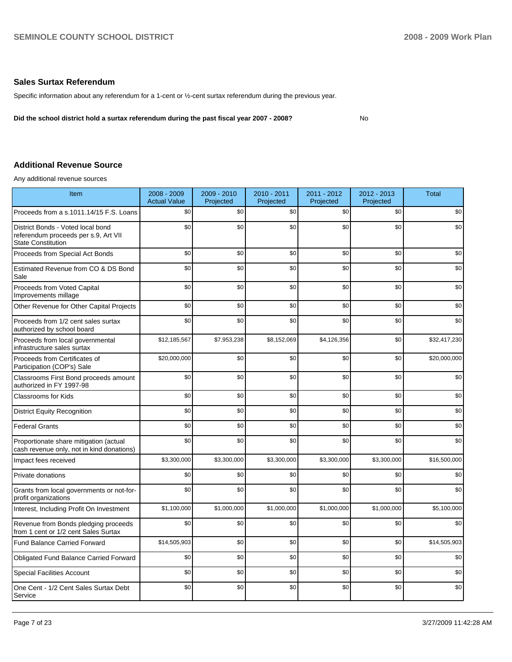## **Sales Surtax Referendum**

Specific information about any referendum for a 1-cent or  $\frac{1}{2}$ -cent surtax referendum during the previous year.

**Did the school district hold a surtax referendum during the past fiscal year 2007 - 2008?** No

**Additional Revenue Source** 

Any additional revenue sources

| Item                                                                                                   | $2008 - 2009$<br><b>Actual Value</b> | 2009 - 2010<br>Projected | 2010 - 2011<br>Projected | 2011 - 2012<br>Projected | 2012 - 2013<br>Projected | <b>Total</b> |
|--------------------------------------------------------------------------------------------------------|--------------------------------------|--------------------------|--------------------------|--------------------------|--------------------------|--------------|
| Proceeds from a s.1011.14/15 F.S. Loans                                                                | \$0                                  | \$0                      | \$0                      | \$0                      | \$0                      | \$0          |
| District Bonds - Voted local bond<br>referendum proceeds per s.9, Art VII<br><b>State Constitution</b> | \$0                                  | \$0                      | \$0                      | \$0                      | \$0                      | \$0          |
| Proceeds from Special Act Bonds                                                                        | \$0                                  | \$0                      | \$0                      | \$0                      | \$0                      | \$0          |
| Estimated Revenue from CO & DS Bond<br>Sale                                                            | \$0                                  | \$0                      | \$0                      | \$0                      | \$0                      | \$0          |
| Proceeds from Voted Capital<br>Improvements millage                                                    | \$0                                  | \$0                      | \$0                      | \$0                      | \$0                      | \$0          |
| Other Revenue for Other Capital Projects                                                               | \$0                                  | \$0                      | \$0                      | \$0                      | \$0                      | \$0          |
| Proceeds from 1/2 cent sales surtax<br>authorized by school board                                      | \$0                                  | \$0                      | \$0                      | \$0                      | \$0                      | \$0          |
| Proceeds from local governmental<br>infrastructure sales surtax                                        | \$12,185,567                         | \$7,953,238              | \$8,152,069              | \$4,126,356              | \$0                      | \$32,417,230 |
| Proceeds from Certificates of<br>Participation (COP's) Sale                                            | \$20,000,000                         | \$0                      | \$0                      | \$0                      | \$0                      | \$20.000.000 |
| Classrooms First Bond proceeds amount<br>authorized in FY 1997-98                                      | \$0                                  | \$0                      | \$0                      | \$0                      | \$0                      | \$0          |
| <b>Classrooms for Kids</b>                                                                             | \$0                                  | \$0                      | \$0                      | \$0                      | \$0                      | \$0          |
| <b>District Equity Recognition</b>                                                                     | \$0                                  | \$0                      | \$0                      | \$0                      | \$0                      | \$0          |
| <b>Federal Grants</b>                                                                                  | \$0                                  | \$0                      | \$0                      | \$0                      | \$0                      | \$0          |
| Proportionate share mitigation (actual<br>cash revenue only, not in kind donations)                    | \$0                                  | \$0                      | \$0                      | \$0                      | \$0                      | \$0          |
| Impact fees received                                                                                   | \$3,300,000                          | \$3,300,000              | \$3,300,000              | \$3,300,000              | \$3,300,000              | \$16,500,000 |
| Private donations                                                                                      | \$0                                  | \$0                      | \$0                      | \$0                      | \$0                      | \$0          |
| Grants from local governments or not-for-<br>profit organizations                                      | \$0                                  | \$0                      | \$0                      | \$0                      | \$0                      | \$0          |
| Interest, Including Profit On Investment                                                               | \$1,100,000                          | \$1,000,000              | \$1,000,000              | \$1,000,000              | \$1,000,000              | \$5,100,000  |
| Revenue from Bonds pledging proceeds<br>from 1 cent or 1/2 cent Sales Surtax                           | \$0                                  | \$0                      | \$0                      | \$0                      | \$0                      | \$0          |
| <b>Fund Balance Carried Forward</b>                                                                    | \$14,505,903                         | \$0                      | \$0                      | \$0                      | \$0                      | \$14,505,903 |
| Obligated Fund Balance Carried Forward                                                                 | \$0                                  | \$0                      | \$0                      | \$0                      | \$0                      | \$0          |
| <b>Special Facilities Account</b>                                                                      | \$0                                  | \$0                      | \$0                      | \$0                      | \$0                      | \$0          |
| One Cent - 1/2 Cent Sales Surtax Debt<br>Service                                                       | \$0                                  | \$0                      | \$0                      | \$0                      | \$0                      | \$0          |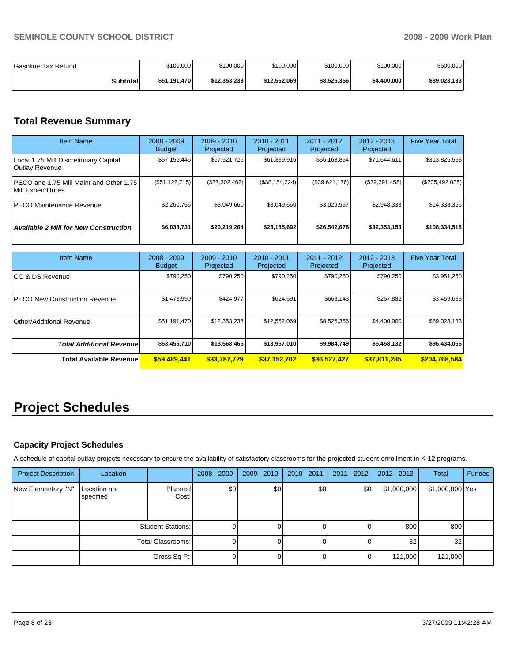| Gasoline Tax Refund | \$100,000    | \$100,000    | \$100,000    | \$100,000   | \$100,000   | \$500,000    |  |
|---------------------|--------------|--------------|--------------|-------------|-------------|--------------|--|
| <b>Subtotal</b>     | \$51.191.470 | \$12,353,238 | \$12,552,069 | \$8,526,356 | \$4,400,000 | \$89,023,133 |  |

# **Total Revenue Summary**

| <b>Item Name</b>                                               | $2008 - 2009$<br><b>Budget</b> | $2009 - 2010$<br>Projected | $2010 - 2011$<br>Projected | $2011 - 2012$<br>Projected | $2012 - 2013$<br>Projected | <b>Five Year Total</b> |
|----------------------------------------------------------------|--------------------------------|----------------------------|----------------------------|----------------------------|----------------------------|------------------------|
| Local 1.75 Mill Discretionary Capital<br><b>Outlay Revenue</b> | \$57,156,446                   | \$57,521,726               | \$61,339,916               | \$66,163,854               | \$71,644,611               | \$313,826,553          |
| PECO and 1.75 Mill Maint and Other 1.75<br>Mill Expenditures   | (\$51, 122, 715)               | (\$37,302,462)             | (\$38,154,224)             | (\$39,621,176)             | (S39, 291, 458)            | $(\$205,492,035)$      |
| IPECO Maintenance Revenue                                      | \$2,260,756                    | \$3,049,660                | \$3.049.660                | \$3,029,957                | \$2,948,333                | \$14,338,366           |
| <b>Available 2 Mill for New Construction</b>                   | \$6,033,731                    | \$20,219,264               | \$23,185,692               | \$26,542,678               | \$32,353,153               | \$108,334,518          |

| <b>Item Name</b>                      | $2008 - 2009$<br><b>Budget</b> | $2009 - 2010$<br>Projected | $2010 - 2011$<br>Projected | $2011 - 2012$<br>Projected | $2012 - 2013$<br>Projected | <b>Five Year Total</b> |
|---------------------------------------|--------------------------------|----------------------------|----------------------------|----------------------------|----------------------------|------------------------|
| ICO & DS Revenue                      | \$790,250                      | \$790,250                  | \$790,250                  | \$790,250                  | \$790,250                  | \$3,951,250            |
| <b>IPECO New Construction Revenue</b> | \$1,473,990                    | \$424.977                  | \$624.691                  | \$668.143                  | \$267,882                  | \$3,459,683            |
| <b>Other/Additional Revenue</b>       | \$51,191,470                   | \$12,353,238               | \$12,552,069               | \$8,526,356                | \$4,400,000                | \$89,023,133           |
| <b>Total Additional Revenuel</b>      | \$53,455,710                   | \$13,568,465               | \$13,967,010               | \$9,984,749                | \$5,458,132                | \$96,434,066           |
| <b>Total Available Revenue</b>        | \$59,489,441                   | \$33,787,729               | \$37,152,702               | \$36,527,427               | \$37,811,285               | \$204,768,584          |

# **Project Schedules**

# **Capacity Project Schedules**

A schedule of capital outlay projects necessary to ensure the availability of satisfactory classrooms for the projected student enrollment in K-12 programs.

| <b>Project Description</b> | Location                  |                          | $2008 - 2009$ | $2009 - 2010$ | $2010 - 2011$ | $2011 - 2012$ | $2012 - 2013$   | Total           | Funded |
|----------------------------|---------------------------|--------------------------|---------------|---------------|---------------|---------------|-----------------|-----------------|--------|
| New Elementary "N"         | Location not<br>specified | <b>Planned</b><br>Cost:  | \$0           | \$0           | \$0           | \$0           | \$1,000,000     | \$1,000,000 Yes |        |
|                            |                           | <b>Student Stations:</b> |               |               |               |               | 800             | 800             |        |
|                            |                           | Total Classrooms:        |               |               |               |               | 32 <sub>1</sub> | 32 <sub>l</sub> |        |
|                            |                           | Gross Sq Ft:             | 0             |               |               |               | 121,000         | 121,000         |        |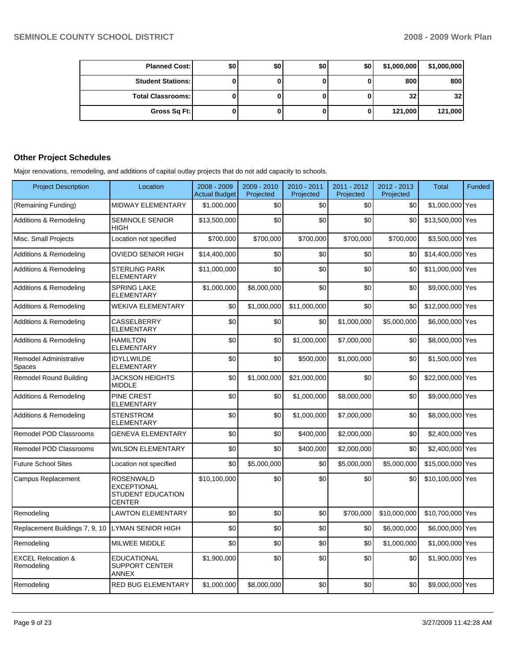| <b>Planned Cost:</b>       | \$0 | \$0 | \$0 | \$0 | \$1,000,000     | \$1,000,000     |
|----------------------------|-----|-----|-----|-----|-----------------|-----------------|
| <b>Student Stations: I</b> |     |     |     | 0   | 800             | 800             |
| <b>Total Classrooms:</b>   |     |     |     | 0   | 32 <sub>1</sub> | 32 <sub>1</sub> |
| Gross Sq Ft:               |     |     |     | 0   | 121,000         | 121,000         |

# **Other Project Schedules**

Major renovations, remodeling, and additions of capital outlay projects that do not add capacity to schools.

| <b>Project Description</b>                         | Location                                                                     | $2008 - 2009$<br><b>Actual Budget</b> | 2009 - 2010<br>Projected | 2010 - 2011<br>Projected | 2011 - 2012<br>Projected | 2012 - 2013<br>Projected | <b>Total</b>     | Funded |
|----------------------------------------------------|------------------------------------------------------------------------------|---------------------------------------|--------------------------|--------------------------|--------------------------|--------------------------|------------------|--------|
| (Remaining Funding)                                | MIDWAY ELEMENTARY                                                            | \$1,000,000                           | \$0                      | \$0                      | \$0                      | \$0                      | \$1,000,000 Yes  |        |
| Additions & Remodeling                             | <b>SEMINOLE SENIOR</b><br>HIGH                                               | \$13,500,000                          | \$0                      | \$0                      | \$0                      | \$0                      | \$13,500,000 Yes |        |
| Misc. Small Projects                               | Location not specified                                                       | \$700,000                             | \$700,000                | \$700,000                | \$700,000                | \$700,000                | \$3,500,000 Yes  |        |
| Additions & Remodeling                             | OVIEDO SENIOR HIGH                                                           | \$14.400.000                          | \$0                      | \$0                      | \$0                      | \$0                      | \$14,400,000 Yes |        |
| Additions & Remodeling                             | <b>STERLING PARK</b><br>ELEMENTARY                                           | \$11,000,000                          | \$0                      | \$0                      | \$0                      | \$0                      | \$11,000,000 Yes |        |
| Additions & Remodeling                             | <b>SPRING LAKE</b><br><b>ELEMENTARY</b>                                      | \$1,000,000                           | \$8,000,000              | \$0                      | \$0                      | \$0                      | \$9,000,000 Yes  |        |
| Additions & Remodeling                             | WEKIVA ELEMENTARY                                                            | \$0                                   | \$1,000,000              | \$11.000.000             | \$0                      | \$0                      | \$12,000,000 Yes |        |
| Additions & Remodeling                             | <b>CASSELBERRY</b><br>ELEMENTARY                                             | \$0                                   | \$0                      | \$0                      | \$1.000.000              | \$5,000,000              | \$6,000,000 Yes  |        |
| Additions & Remodeling                             | <b>HAMILTON</b><br><b>ELEMENTARY</b>                                         | \$0                                   | \$0                      | \$1,000,000              | \$7,000,000              | \$0                      | \$8,000,000 Yes  |        |
| <b>Remodel Administrative</b><br>Spaces            | <b>IDYLLWILDE</b><br>ELEMENTARY                                              | \$0                                   | \$0                      | \$500.000                | \$1.000.000              | \$0                      | \$1,500,000 Yes  |        |
| <b>Remodel Round Building</b>                      | <b>JACKSON HEIGHTS</b><br><b>MIDDLE</b>                                      | \$0                                   | \$1,000,000              | \$21,000,000             | \$0                      | \$0                      | \$22,000,000 Yes |        |
| <b>Additions &amp; Remodeling</b>                  | PINE CREST<br><b>ELEMENTARY</b>                                              | \$0                                   | \$0                      | \$1,000,000              | \$8,000,000              | \$0                      | \$9,000,000 Yes  |        |
| Additions & Remodeling                             | <b>STENSTROM</b><br>ELEMENTARY                                               | \$0                                   | \$0                      | \$1,000,000              | \$7,000,000              | \$0                      | \$8,000,000 Yes  |        |
| Remodel POD Classrooms                             | <b>GENEVA ELEMENTARY</b>                                                     | \$0                                   | \$0                      | \$400,000                | \$2,000,000              | \$0                      | \$2,400,000 Yes  |        |
| Remodel POD Classrooms                             | <b>WILSON ELEMENTARY</b>                                                     | \$0                                   | \$0                      | \$400,000                | \$2,000,000              | \$0                      | \$2,400,000 Yes  |        |
| <b>Future School Sites</b>                         | Location not specified                                                       | \$0                                   | \$5,000,000              | \$0                      | \$5,000,000              | \$5,000,000              | \$15,000,000 Yes |        |
| Campus Replacement                                 | ROSENWALD<br><b>EXCEPTIONAL</b><br><b>STUDENT EDUCATION</b><br><b>CENTER</b> | \$10,100,000                          | \$0                      | \$0                      | \$0                      | \$0                      | \$10,100,000 Yes |        |
| Remodeling                                         | <b>LAWTON ELEMENTARY</b>                                                     | \$0                                   | \$0                      | \$0                      | \$700,000                | \$10,000,000             | \$10,700,000 Yes |        |
| Replacement Buildings 7, 9, 10   LYMAN SENIOR HIGH |                                                                              | \$0                                   | \$0                      | \$0                      | \$0                      | \$6,000,000              | \$6,000,000 Yes  |        |
| Remodeling                                         | MILWEE MIDDLE                                                                | \$0                                   | \$0                      | \$0                      | \$0                      | \$1,000,000              | \$1,000,000 Yes  |        |
| <b>EXCEL Relocation &amp;</b><br>Remodeling        | <b>EDUCATIONAL</b><br><b>SUPPORT CENTER</b><br><b>ANNEX</b>                  | \$1,900,000                           | \$0                      | \$0                      | \$0                      | \$0                      | \$1,900,000 Yes  |        |
| Remodeling                                         | RED BUG ELEMENTARY                                                           | \$1,000,000                           | \$8,000,000              | \$0                      | \$0                      | \$0                      | \$9,000,000 Yes  |        |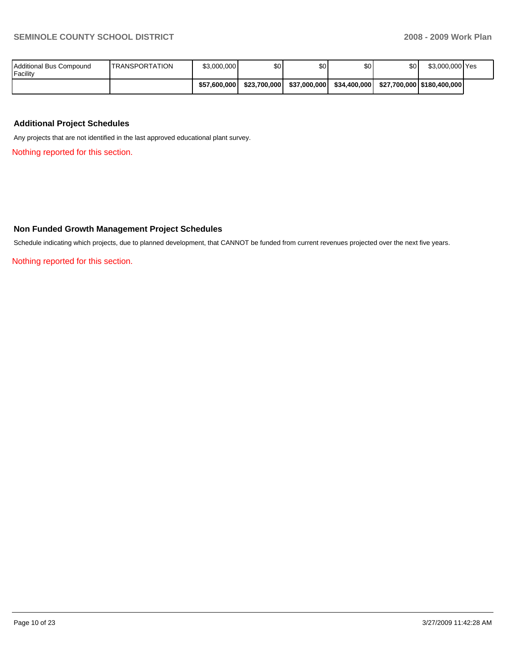| Additional Bus Compound<br>Facility | <b>ITRANSPORTATION</b> | \$3,000,000  | \$0          | \$0          | \$0          | \$0 | \$3,000,000 Yes              |  |
|-------------------------------------|------------------------|--------------|--------------|--------------|--------------|-----|------------------------------|--|
|                                     |                        | \$57,600,000 | \$23.700.000 | \$37.000.000 | \$34,400,000 |     | \$27,700,000   \$180,400,000 |  |

## **Additional Project Schedules**

Any projects that are not identified in the last approved educational plant survey.

Nothing reported for this section.

### **Non Funded Growth Management Project Schedules**

Schedule indicating which projects, due to planned development, that CANNOT be funded from current revenues projected over the next five years.

Nothing reported for this section.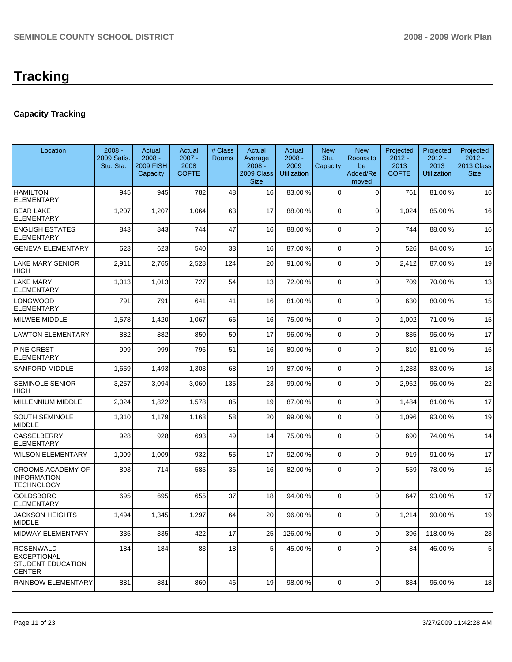# **Tracking**

# **Capacity Tracking**

| Location                                                            | $2008 -$<br>2009 Satis.<br>Stu. Sta. | Actual<br>$2008 -$<br><b>2009 FISH</b><br>Capacity | Actual<br>$2007 -$<br>2008<br><b>COFTE</b> | # Class<br>Rooms | Actual<br>Average<br>$2008 -$<br>2009 Class<br><b>Size</b> | Actual<br>$2008 -$<br>2009<br>Utilization | <b>New</b><br>Stu.<br>Capacity | <b>New</b><br>Rooms to<br>be<br>Added/Re<br>moved | Projected<br>$2012 -$<br>2013<br><b>COFTE</b> | Projected<br>$2012 -$<br>2013<br>Utilization | Projected<br>$2012 -$<br>2013 Class<br><b>Size</b> |
|---------------------------------------------------------------------|--------------------------------------|----------------------------------------------------|--------------------------------------------|------------------|------------------------------------------------------------|-------------------------------------------|--------------------------------|---------------------------------------------------|-----------------------------------------------|----------------------------------------------|----------------------------------------------------|
| <b>HAMILTON</b><br><b>ELEMENTARY</b>                                | 945                                  | 945                                                | 782                                        | 48               | 16                                                         | 83.00 %                                   | 0                              | 0                                                 | 761                                           | 81.00 %                                      | 16                                                 |
| <b>BEAR LAKE</b><br>ELEMENTARY                                      | 1,207                                | 1,207                                              | 1,064                                      | 63               | 17                                                         | 88.00 %                                   | $\Omega$                       | $\Omega$                                          | 1,024                                         | 85.00 %                                      | 16                                                 |
| <b>ENGLISH ESTATES</b><br><b>ELEMENTARY</b>                         | 843                                  | 843                                                | 744                                        | 47               | 16                                                         | 88.00 %                                   | 0                              | $\Omega$                                          | 744                                           | 88.00 %                                      | 16                                                 |
| <b>GENEVA ELEMENTARY</b>                                            | 623                                  | 623                                                | 540                                        | 33               | 16                                                         | 87.00 %                                   | 0                              | $\mathbf 0$                                       | 526                                           | 84.00 %                                      | 16                                                 |
| LAKE MARY SENIOR<br>HIGH                                            | 2,911                                | 2,765                                              | 2,528                                      | 124              | 20                                                         | 91.00 %                                   | 0                              | $\mathbf 0$                                       | 2,412                                         | 87.00 %                                      | 19                                                 |
| LAKE MARY<br><b>ELEMENTARY</b>                                      | 1,013                                | 1,013                                              | 727                                        | 54               | 13                                                         | 72.00 %                                   | 0                              | $\mathbf 0$                                       | 709                                           | 70.00 %                                      | 13                                                 |
| LONGWOOD<br>ELEMENTARY                                              | 791                                  | 791                                                | 641                                        | 41               | 16                                                         | 81.00 %                                   | $\Omega$                       | $\mathbf{0}$                                      | 630                                           | 80.00 %                                      | 15                                                 |
| MILWEE MIDDLE                                                       | 1,578                                | 1,420                                              | 1,067                                      | 66               | 16                                                         | 75.00 %                                   | $\mathbf 0$                    | $\mathbf 0$                                       | 1,002                                         | 71.00 %                                      | 15                                                 |
| <b>LAWTON ELEMENTARY</b>                                            | 882                                  | 882                                                | 850                                        | 50               | 17                                                         | 96.00 %                                   | 0                              | $\Omega$                                          | 835                                           | 95.00 %                                      | 17                                                 |
| PINE CREST<br><b>ELEMENTARY</b>                                     | 999                                  | 999                                                | 796                                        | 51               | 16                                                         | 80.00 %                                   | $\mathbf 0$                    | $\Omega$                                          | 810                                           | 81.00%                                       | 16                                                 |
| SANFORD MIDDLE                                                      | 1,659                                | 1,493                                              | 1,303                                      | 68               | 19                                                         | 87.00 %                                   | $\Omega$                       | $\mathbf 0$                                       | 1,233                                         | 83.00 %                                      | 18                                                 |
| <b>SEMINOLE SENIOR</b><br>HIGH                                      | 3,257                                | 3,094                                              | 3,060                                      | 135              | 23                                                         | 99.00 %                                   | $\Omega$                       | $\Omega$                                          | 2,962                                         | 96.00 %                                      | 22                                                 |
| MILLENNIUM MIDDLE                                                   | 2,024                                | 1,822                                              | 1,578                                      | 85               | 19                                                         | 87.00 %                                   | $\overline{0}$                 | $\mathbf 0$                                       | 1,484                                         | 81.00 %                                      | 17                                                 |
| SOUTH SEMINOLE<br><b>MIDDLE</b>                                     | 1,310                                | 1,179                                              | 1,168                                      | 58               | 20                                                         | 99.00 %                                   | $\Omega$                       | $\mathbf{0}$                                      | 1,096                                         | 93.00 %                                      | 19                                                 |
| CASSELBERRY<br><b>ELEMENTARY</b>                                    | 928                                  | 928                                                | 693                                        | 49               | 14                                                         | 75.00 %                                   | $\Omega$                       | $\Omega$                                          | 690                                           | 74.00 %                                      | 14                                                 |
| <b>WILSON ELEMENTARY</b>                                            | 1,009                                | 1,009                                              | 932                                        | 55               | 17                                                         | 92.00 %                                   | 0                              | $\Omega$                                          | 919                                           | 91.00 %                                      | 17                                                 |
| <b>CROOMS ACADEMY OF</b><br><b>INFORMATION</b><br><b>TECHNOLOGY</b> | 893                                  | 714                                                | 585                                        | 36               | 16                                                         | 82.00 %                                   | 0                              | $\Omega$                                          | 559                                           | 78.00 %                                      | 16                                                 |
| <b>GOLDSBORO</b><br><b>ELEMENTARY</b>                               | 695                                  | 695                                                | 655                                        | 37               | 18                                                         | 94.00 %                                   | $\Omega$                       | $\Omega$                                          | 647                                           | 93.00 %                                      | 17                                                 |
| <b>JACKSON HEIGHTS</b><br><b>MIDDLE</b>                             | 1.494                                | 1,345                                              | 1,297                                      | 64               | 20 <sup>1</sup>                                            | 96.00 %                                   | $\Omega$                       | $\Omega$                                          | 1,214                                         | 90.00 %                                      | 19                                                 |
| MIDWAY ELEMENTARY                                                   | 335                                  | 335                                                | 422                                        | 17               | 25                                                         | 126.00 %                                  | $\overline{0}$                 | 0                                                 | 396                                           | 118.00 %                                     | 23                                                 |
| <b>ROSENWALD</b><br>EXCEPTIONAL<br>STUDENT EDUCATION<br>CENTER      | 184                                  | 184                                                | 83                                         | 18               | 5 <sub>1</sub>                                             | 45.00 %                                   | $\Omega$                       | $\Omega$                                          | 84                                            | 46.00 %                                      | 5                                                  |
| RAINBOW ELEMENTARY                                                  | 881                                  | 881                                                | 860                                        | 46               | 19                                                         | 98.00 %                                   | $\overline{0}$                 | 0                                                 | 834                                           | 95.00 %                                      | 18                                                 |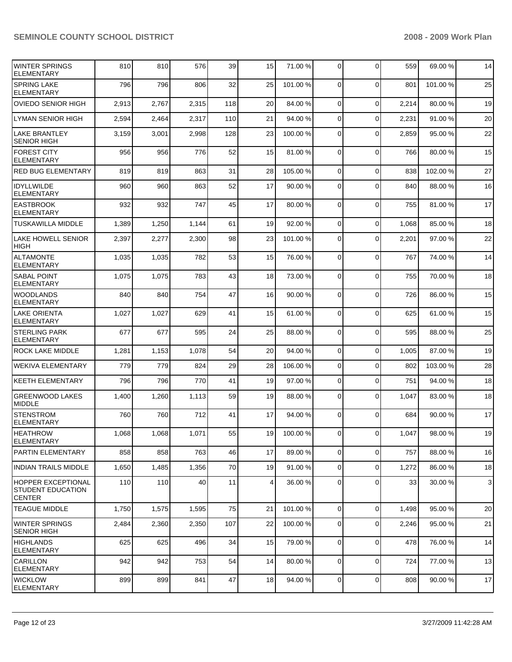| <b>WINTER SPRINGS</b><br><b>ELEMENTARY</b>                             | 810   | 810   | 576   | 39  | 15 | 71.00 %  | 0              | $\Omega$       | 559   | 69.00 %  | 14           |
|------------------------------------------------------------------------|-------|-------|-------|-----|----|----------|----------------|----------------|-------|----------|--------------|
| <b>SPRING LAKE</b><br><b>ELEMENTARY</b>                                | 796   | 796   | 806   | 32  | 25 | 101.00 % | $\Omega$       | $\mathbf 0$    | 801   | 101.00%  | 25           |
| <b>OVIEDO SENIOR HIGH</b>                                              | 2,913 | 2,767 | 2,315 | 118 | 20 | 84.00 %  | $\mathbf 0$    | $\mathbf 0$    | 2,214 | 80.00 %  | 19           |
| <b>LYMAN SENIOR HIGH</b>                                               | 2,594 | 2,464 | 2,317 | 110 | 21 | 94.00 %  | $\mathbf 0$    | $\mathbf 0$    | 2,231 | 91.00 %  | 20           |
| <b>LAKE BRANTLEY</b><br><b>SENIOR HIGH</b>                             | 3,159 | 3,001 | 2,998 | 128 | 23 | 100.00 % | 0              | $\Omega$       | 2,859 | 95.00 %  | 22           |
| <b>FOREST CITY</b><br><b>ELEMENTARY</b>                                | 956   | 956   | 776   | 52  | 15 | 81.00 %  | 0              | $\mathbf 0$    | 766   | 80.00 %  | 15           |
| <b>RED BUG ELEMENTARY</b>                                              | 819   | 819   | 863   | 31  | 28 | 105.00 % | $\Omega$       | $\mathbf 0$    | 838   | 102.00 % | 27           |
| <b>IDYLLWILDE</b><br><b>ELEMENTARY</b>                                 | 960   | 960   | 863   | 52  | 17 | 90.00 %  | $\Omega$       | $\Omega$       | 840   | 88.00 %  | 16           |
| <b>EASTBROOK</b><br><b>ELEMENTARY</b>                                  | 932   | 932   | 747   | 45  | 17 | 80.00 %  | $\Omega$       | $\mathbf 0$    | 755   | 81.00 %  | 17           |
| <b>TUSKAWILLA MIDDLE</b>                                               | 1,389 | 1,250 | 1,144 | 61  | 19 | 92.00 %  | $\Omega$       | $\mathbf 0$    | 1,068 | 85.00 %  | 18           |
| <b>LAKE HOWELL SENIOR</b><br><b>HIGH</b>                               | 2,397 | 2,277 | 2,300 | 98  | 23 | 101.00 % | $\Omega$       | $\Omega$       | 2,201 | 97.00 %  | 22           |
| <b>ALTAMONTE</b><br><b>ELEMENTARY</b>                                  | 1,035 | 1,035 | 782   | 53  | 15 | 76.00 %  | 0              | $\mathbf 0$    | 767   | 74.00 %  | 14           |
| <b>SABAL POINT</b><br><b>ELEMENTARY</b>                                | 1,075 | 1,075 | 783   | 43  | 18 | 73.00 %  | $\Omega$       | $\mathbf 0$    | 755   | 70.00 %  | 18           |
| <b>WOODLANDS</b><br><b>ELEMENTARY</b>                                  | 840   | 840   | 754   | 47  | 16 | 90.00 %  | $\Omega$       | $\mathbf 0$    | 726   | 86.00 %  | 15           |
| <b>LAKE ORIENTA</b><br><b>ELEMENTARY</b>                               | 1,027 | 1,027 | 629   | 41  | 15 | 61.00 %  | $\Omega$       | $\Omega$       | 625   | 61.00 %  | 15           |
| <b>STERLING PARK</b><br><b>ELEMENTARY</b>                              | 677   | 677   | 595   | 24  | 25 | 88.00 %  | $\Omega$       | $\overline{0}$ | 595   | 88.00 %  | 25           |
| ROCK LAKE MIDDLE                                                       | 1,281 | 1,153 | 1,078 | 54  | 20 | 94.00 %  | $\mathbf 0$    | $\mathbf 0$    | 1,005 | 87.00 %  | 19           |
| <b>WEKIVA ELEMENTARY</b>                                               | 779   | 779   | 824   | 29  | 28 | 106.00 % | $\mathbf 0$    | 0              | 802   | 103.00 % | 28           |
| <b>KEETH ELEMENTARY</b>                                                | 796   | 796   | 770   | 41  | 19 | 97.00 %  | $\mathbf 0$    | $\mathbf 0$    | 751   | 94.00 %  | 18           |
| <b>GREENWOOD LAKES</b><br>MIDDLE                                       | 1,400 | 1,260 | 1,113 | 59  | 19 | 88.00 %  | $\Omega$       | $\Omega$       | 1,047 | 83.00 %  | 18           |
| <b>STENSTROM</b><br><b>ELEMENTARY</b>                                  | 760   | 760   | 712   | 41  | 17 | 94.00 %  | $\Omega$       | $\Omega$       | 684   | 90.00 %  | 17           |
| <b>HEATHROW</b><br>ELEMENTARY                                          | 1,068 | 1,068 | 1,071 | 55  | 19 | 100.00 % | $\Omega$       | $\Omega$       | 1,047 | 98.00 %  | 19           |
| <b>PARTIN ELEMENTARY</b>                                               | 858   | 858   | 763   | 46  | 17 | 89.00 %  | 0              | 0              | 757   | 88.00 %  | 16           |
| <b>INDIAN TRAILS MIDDLE</b>                                            | 1,650 | 1,485 | 1,356 | 70  | 19 | 91.00 %  | 0              | 0              | 1,272 | 86.00 %  | 18           |
| <b>HOPPER EXCEPTIONAL</b><br><b>STUDENT EDUCATION</b><br><b>CENTER</b> | 110   | 110   | 40    | 11  | 4  | 36.00 %  | 0              | $\Omega$       | 33    | 30.00 %  | $\mathbf{3}$ |
| <b>TEAGUE MIDDLE</b>                                                   | 1,750 | 1,575 | 1,595 | 75  | 21 | 101.00%  | $\Omega$       | $\Omega$       | 1,498 | 95.00 %  | 20           |
| <b>WINTER SPRINGS</b><br><b>SENIOR HIGH</b>                            | 2,484 | 2,360 | 2,350 | 107 | 22 | 100.00%  | 0              | 0              | 2,246 | 95.00 %  | 21           |
| <b>HIGHLANDS</b><br><b>ELEMENTARY</b>                                  | 625   | 625   | 496   | 34  | 15 | 79.00 %  | 0              | $\mathbf 0$    | 478   | 76.00 %  | 14           |
| CARILLON<br><b>ELEMENTARY</b>                                          | 942   | 942   | 753   | 54  | 14 | 80.00 %  | $\mathbf 0$    | $\mathbf 0$    | 724   | 77.00 %  | 13           |
| <b>WICKLOW</b><br><b>ELEMENTARY</b>                                    | 899   | 899   | 841   | 47  | 18 | 94.00 %  | $\overline{0}$ | 0              | 808   | 90.00 %  | 17           |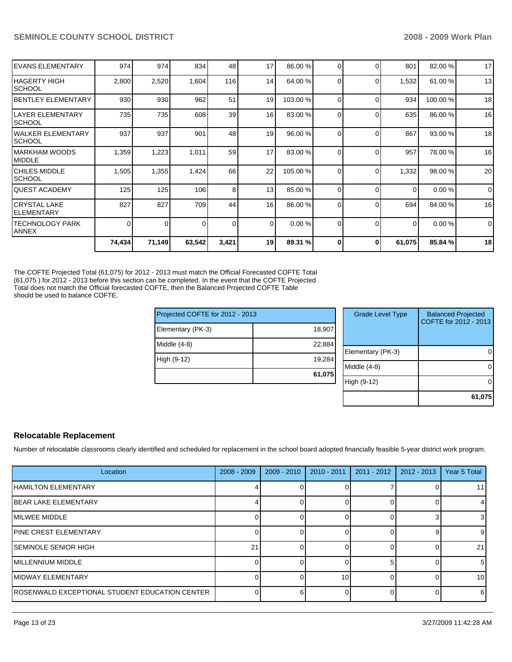| <b>IEVANS ELEMENTARY</b>           | 974    | 974    | 834      | 48              | 17       | 86.00 %  | 0            | $\Omega$ | 801      | 82.00 %  | 17          |
|------------------------------------|--------|--------|----------|-----------------|----------|----------|--------------|----------|----------|----------|-------------|
| IHAGERTY HIGH<br>ISCHOOL           | 2,800  | 2,520  | 1,604    | 116             | 14       | 64.00 %  | 0            | $\Omega$ | 1,532    | 61.00 %  | 13          |
| <b>IBENTLEY ELEMENTARY</b>         | 930    | 930    | 962      | 51              | 19       | 103.00 % | 0            | $\Omega$ | 934      | 100.00 % | 18          |
| llayer elementary<br><b>SCHOOL</b> | 735    | 735    | 608      | 39 <sub>l</sub> | 16       | 83.00 %  | 0            | $\Omega$ | 635      | 86.00 %  | 16          |
| WALKER ELEMENTARY<br>ISCHOOL       | 937    | 937    | 901      | 48              | 19       | 96.00 %  | <sup>0</sup> | $\Omega$ | 867      | 93.00 %  | 18          |
| IMARKHAM WOODS<br><b>IMIDDLE</b>   | 1,359  | 1,223  | 1,011    | 59              | 17       | 83.00 %  | $\Omega$     | $\Omega$ | 957      | 78.00 %  | 16          |
| ICHILES MIDDLE<br>ISCHOOL          | 1,505  | 1,355  | 1,424    | 66              | 22       | 105.00 % | 0            | $\Omega$ | 1,332    | 98.00 %  | 20          |
| IQUEST ACADEMY                     | 125    | 125    | 106      | 8               | 13       | 85.00 %  | $\Omega$     | $\Omega$ | $\Omega$ | 0.00%    | $\mathbf 0$ |
| ICRYSTAL LAKE<br>IELEMENTARY       | 827    | 827    | 709      | 44              | 16       | 86.00 %  | 0            | $\Omega$ | 694      | 84.00 %  | 16          |
| ITECHNOLOGY PARK<br><b>ANNEX</b>   | 0      | 0      | $\Omega$ | $\overline{0}$  | $\Omega$ | 0.00%    | 0            | $\Omega$ | $\Omega$ | 0.00%    | $\mathbf 0$ |
|                                    | 74,434 | 71,149 | 63,542   | 3,421           | 19       | 89.31 %  |              | $\Omega$ | 61,075   | 85.84 %  | 18          |

The COFTE Projected Total (61,075) for 2012 - 2013 must match the Official Forecasted COFTE Total (61,075 ) for 2012 - 2013 before this section can be completed. In the event that the COFTE Projected Total does not match the Official forecasted COFTE, then the Balanced Projected COFTE Table should be used to balance COFTE.

| Projected COFTE for 2012 - 2013 |        |                | <b>Grade Level Type</b> | <b>Balanced Projected</b><br>COFTE for 2012 - 2013 |
|---------------------------------|--------|----------------|-------------------------|----------------------------------------------------|
| Elementary (PK-3)               | 18,907 |                |                         |                                                    |
| Middle (4-8)                    | 22,884 |                |                         |                                                    |
|                                 |        |                | Elementary (PK-3)       | 0                                                  |
| High (9-12)                     | 19,284 |                |                         |                                                    |
|                                 |        | $Middle (4-8)$ |                         | 0                                                  |
|                                 | 61,075 |                |                         |                                                    |
|                                 |        |                | High (9-12)             | 0                                                  |
|                                 |        |                |                         |                                                    |
|                                 |        |                |                         | 61,075                                             |

## **Relocatable Replacement**

Number of relocatable classrooms clearly identified and scheduled for replacement in the school board adopted financially feasible 5-year district work program.

| Location                                        | $2008 - 2009$ | $2009 - 2010$ | $2010 - 2011$ | $2011 - 2012$ | $2012 - 2013$ | Year 5 Total |
|-------------------------------------------------|---------------|---------------|---------------|---------------|---------------|--------------|
| <b>IHAMILTON ELEMENTARY</b>                     |               |               |               |               |               |              |
| IBEAR LAKE ELEMENTARY                           |               |               |               |               |               |              |
| IMILWEE MIDDLE                                  |               |               |               |               |               |              |
| <b>IPINE CREST ELEMENTARY</b>                   |               |               |               |               |               | 9            |
| ISEMINOLE SENIOR HIGH                           | 21            |               |               |               |               | 21           |
| IMILLENNIUM MIDDLE                              |               |               |               |               |               | 5            |
| IMIDWAY ELEMENTARY                              |               |               | 10            |               |               | 10           |
| IROSENWALD EXCEPTIONAL STUDENT EDUCATION CENTER |               | 61            |               |               |               | -6           |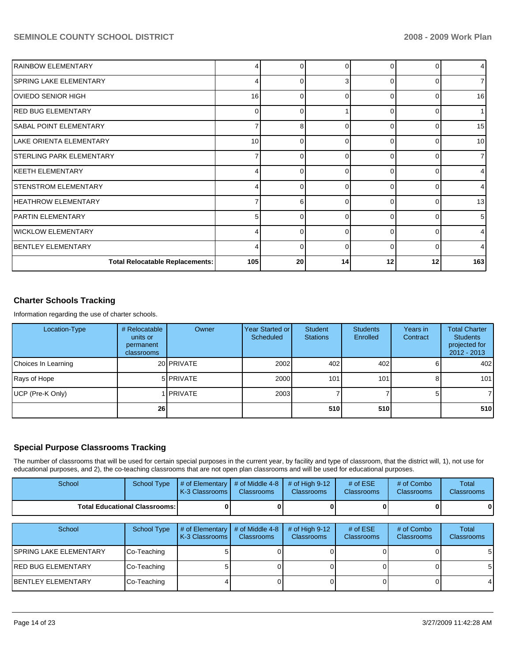| <b>IRAINBOW ELEMENTARY</b>             | 4   | 0        |          | $\Omega$ |    | 4   |
|----------------------------------------|-----|----------|----------|----------|----|-----|
| <b>SPRING LAKE ELEMENTARY</b>          | 4   | 0        | я        | $\Omega$ |    |     |
| OVIEDO SENIOR HIGH                     | 16  | ŋ        | C        | $\Omega$ |    | 16  |
| IRED BUG ELEMENTARY                    | 0   | $\Omega$ |          | $\Omega$ |    |     |
| <b>SABAL POINT ELEMENTARY</b>          | 7   | 8        | C        | $\Omega$ | O  | 15  |
| LAKE ORIENTA ELEMENTARY                | 10  | $\Omega$ |          | $\Omega$ |    | 10  |
| <b>STERLING PARK ELEMENTARY</b>        | 7   | $\Omega$ | C        | $\Omega$ |    |     |
| IKEETH ELEMENTARY                      | 4   | 0        | O        | $\Omega$ |    |     |
| <b>STENSTROM ELEMENTARY</b>            | 4   | n        | C        | $\Omega$ | ∩  | 4   |
| <b>HEATHROW ELEMENTARY</b>             | 7   | 6        | C        | $\Omega$ |    | 13  |
| <b>PARTIN ELEMENTARY</b>               | 5   | $\Omega$ | C        | $\Omega$ |    | 5   |
| WICKLOW ELEMENTARY                     | 4   | $\Omega$ | C        | $\Omega$ |    | 4   |
| <b>BENTLEY ELEMENTARY</b>              | 4   | 0        | $\Omega$ | $\Omega$ | O  | 4   |
| <b>Total Relocatable Replacements:</b> | 105 | 20       | 14       | 12       | 12 | 163 |

# **Charter Schools Tracking**

Information regarding the use of charter schools.

| Location-Type       | # Relocatable<br>units or<br>permanent<br>classrooms | Owner              | Year Started or <b>I</b><br>Scheduled | Student<br><b>Stations</b> | <b>Students</b><br>Enrolled | Years in<br>Contract | <b>Total Charter</b><br><b>Students</b><br>projected for<br>$2012 - 2013$ |
|---------------------|------------------------------------------------------|--------------------|---------------------------------------|----------------------------|-----------------------------|----------------------|---------------------------------------------------------------------------|
| Choices In Learning |                                                      | 20 PRIVATE         | 2002                                  | 402                        | 402                         |                      | 402                                                                       |
| Rays of Hope        |                                                      | 5 PRIVATE          | 2000                                  | 101                        | 101                         | 8                    | 101                                                                       |
| UCP (Pre-K Only)    |                                                      | 1 <b>I</b> PRIVATE | 2003                                  |                            |                             | 51                   |                                                                           |
|                     | 26 <sup>1</sup>                                      |                    |                                       | 510l                       | 510                         |                      | 510                                                                       |

# **Special Purpose Classrooms Tracking**

The number of classrooms that will be used for certain special purposes in the current year, by facility and type of classroom, that the district will, 1), not use for educational purposes, and 2), the co-teaching classrooms that are not open plan classrooms and will be used for educational purposes.

| School                                 | School Type | $\parallel$ # of Elementary $\parallel$ # of Middle 4-8 $\parallel$ # of High 9-12<br><b>K-3 Classrooms I</b> | <b>Classrooms</b> | <b>Classrooms</b> | # of $ESE$<br><b>Classrooms</b> | # of Combo<br><b>Classrooms</b> | Total<br><b>Classrooms</b> |
|----------------------------------------|-------------|---------------------------------------------------------------------------------------------------------------|-------------------|-------------------|---------------------------------|---------------------------------|----------------------------|
| <b>Total Educational Classrooms: I</b> |             |                                                                                                               |                   |                   |                                 | 0                               | 01                         |

| School                  | School Type | $\#$ of Elementary<br>K-3 Classrooms I | # of Middle 4-8<br><b>Classrooms</b> | # of High $9-12$<br><b>Classrooms</b> | # of $ESE$<br><b>Classrooms</b> | # of Combo<br><b>Classrooms</b> | Total<br><b>Classrooms</b> |
|-------------------------|-------------|----------------------------------------|--------------------------------------|---------------------------------------|---------------------------------|---------------------------------|----------------------------|
| ISPRING LAKE ELEMENTARY | Co-Teaching |                                        |                                      |                                       |                                 |                                 | 5                          |
| IRED BUG ELEMENTARY     | Co-Teaching |                                        |                                      |                                       |                                 |                                 | 5                          |
| IBENTLEY ELEMENTARY     | Co-Teaching |                                        |                                      |                                       |                                 |                                 |                            |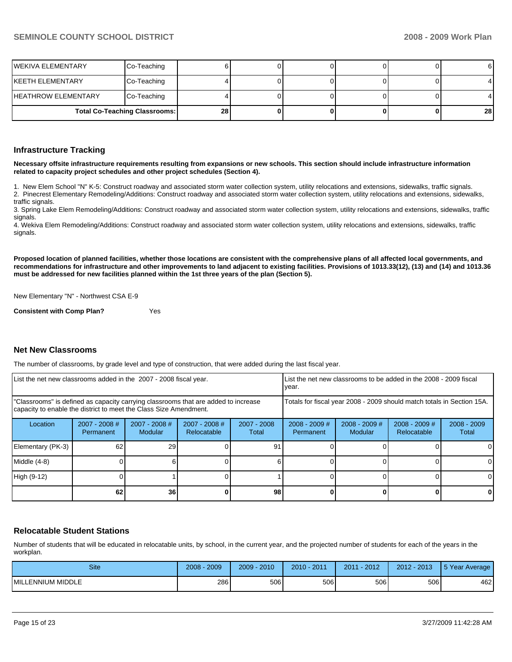|                     | <b>Total Co-Teaching Classrooms:</b> | 28 |  |  | 28 |
|---------------------|--------------------------------------|----|--|--|----|
| HEATHROW ELEMENTARY | Co-Teaching                          |    |  |  |    |
| IKEETH ELEMENTARY   | Co-Teaching                          |    |  |  |    |
| WEKIVA ELEMENTARY   | Co-Teaching                          |    |  |  | 61 |

#### **Infrastructure Tracking**

**Necessary offsite infrastructure requirements resulting from expansions or new schools. This section should include infrastructure information related to capacity project schedules and other project schedules (Section 4).** 

1. New Elem School "N" K-5: Construct roadway and associated storm water collection system, utility relocations and extensions, sidewalks, traffic signals. 2. Pinecrest Elementary Remodeling/Additions: Construct roadway and associated storm water collection system, utility relocations and extensions, sidewalks, traffic signals.

3. Spring Lake Elem Remodeling/Additions: Construct roadway and associated storm water collection system, utility relocations and extensions, sidewalks, traffic signals.

4. Wekiva Elem Remodeling/Additions: Construct roadway and associated storm water collection system, utility relocations and extensions, sidewalks, traffic signals.

**Proposed location of planned facilities, whether those locations are consistent with the comprehensive plans of all affected local governments, and recommendations for infrastructure and other improvements to land adjacent to existing facilities. Provisions of 1013.33(12), (13) and (14) and 1013.36 must be addressed for new facilities planned within the 1st three years of the plan (Section 5).** 

New Elementary "N" - Northwest CSA E-9

**Consistent with Comp Plan?** Yes

#### **Net New Classrooms**

The number of classrooms, by grade level and type of construction, that were added during the last fiscal year.

| List the net new classrooms added in the 2007 - 2008 fiscal year.                                                                                       |                              |                          |                              |                        | List the net new classrooms to be added in the 2008 - 2009 fiscal<br>year. |                            |                                |                        |
|---------------------------------------------------------------------------------------------------------------------------------------------------------|------------------------------|--------------------------|------------------------------|------------------------|----------------------------------------------------------------------------|----------------------------|--------------------------------|------------------------|
| "Classrooms" is defined as capacity carrying classrooms that are added to increase<br>capacity to enable the district to meet the Class Size Amendment. |                              |                          |                              |                        | Totals for fiscal year 2008 - 2009 should match totals in Section 15A.     |                            |                                |                        |
| Location                                                                                                                                                | $2007 - 2008$ #<br>Permanent | 2007 - 2008 #<br>Modular | 2007 - 2008 #<br>Relocatable | $2007 - 2008$<br>Total | $2008 - 2009$ #<br>Permanent                                               | $2008 - 2009$ #<br>Modular | $2008 - 2009$ #<br>Relocatable | $2008 - 2009$<br>Total |
| Elementary (PK-3)                                                                                                                                       | 62                           | 29                       |                              | 91                     |                                                                            |                            |                                |                        |
| Middle (4-8)                                                                                                                                            |                              |                          |                              |                        |                                                                            |                            |                                | ΩI                     |
| High (9-12)                                                                                                                                             |                              |                          |                              |                        |                                                                            |                            |                                |                        |
|                                                                                                                                                         | 62                           | 36                       |                              | 98                     |                                                                            |                            |                                |                        |

#### **Relocatable Student Stations**

Number of students that will be educated in relocatable units, by school, in the current year, and the projected number of students for each of the years in the workplan.

| <b>Site</b>              | 2009<br>2008 | 2010<br>$2009 -$ | 2011<br>$2010 -$ | $-2012$<br>2011 | 2012 - 2013 | 5 Year Average |
|--------------------------|--------------|------------------|------------------|-----------------|-------------|----------------|
| <b>MILLENNIUM MIDDLE</b> | 286          | 506              | 506              | 506             | 506         | 462            |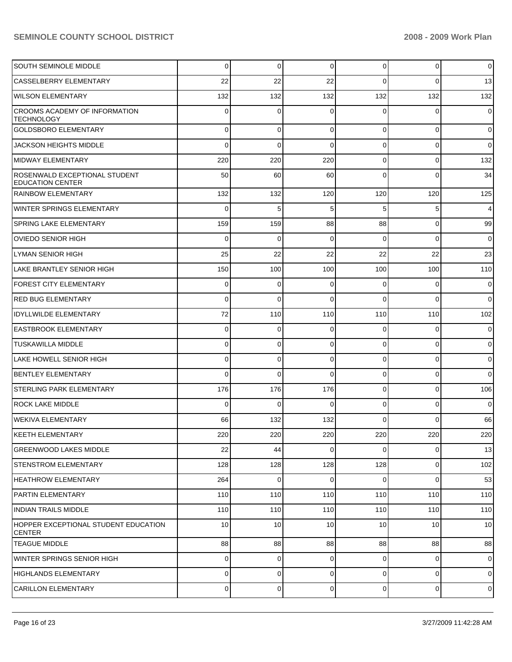| <b>SOUTH SEMINOLE MIDDLE</b>                              | 0        | $\overline{0}$ | 0        | $\overline{0}$ | $\overline{0}$ | $\mathbf 0$    |
|-----------------------------------------------------------|----------|----------------|----------|----------------|----------------|----------------|
| <b>CASSELBERRY ELEMENTARY</b>                             | 22       | 22             | 22       | $\Omega$       | $\Omega$       | 13             |
| <b>WILSON ELEMENTARY</b>                                  | 132      | 132            | 132      | 132            | 132            | 132            |
| <b>CROOMS ACADEMY OF INFORMATION</b><br><b>TECHNOLOGY</b> | $\Omega$ | 0              | 0        | $\Omega$       | $\Omega$       | $\overline{0}$ |
| <b>GOLDSBORO ELEMENTARY</b>                               | 0        | $\overline{0}$ | $\Omega$ | 0              | $\overline{0}$ | $\overline{0}$ |
| <b>JACKSON HEIGHTS MIDDLE</b>                             | $\Omega$ | $\mathbf 0$    | $\Omega$ | 0              | $\overline{0}$ | $\overline{0}$ |
| MIDWAY ELEMENTARY                                         | 220      | 220            | 220      | 0              | $\overline{0}$ | 132            |
| ROSENWALD EXCEPTIONAL STUDENT<br><b>EDUCATION CENTER</b>  | 50       | 60             | 60       | $\Omega$       | $\overline{0}$ | 34             |
| RAINBOW ELEMENTARY                                        | 132      | 132            | 120      | 120            | 120            | 125            |
| WINTER SPRINGS ELEMENTARY                                 | $\Omega$ | 5              | 5        | 5              | 5              | $\overline{4}$ |
| <b>SPRING LAKE ELEMENTARY</b>                             | 159      | 159            | 88       | 88             | $\overline{0}$ | 99             |
| <b>OVIEDO SENIOR HIGH</b>                                 | 0        | 0              | 0        | $\Omega$       | $\mathbf 0$    | $\overline{0}$ |
| LYMAN SENIOR HIGH                                         | 25       | 22             | 22       | 22             | 22             | 23             |
| LAKE BRANTLEY SENIOR HIGH                                 | 150      | 100            | 100      | 100            | 100            | 110            |
| FOREST CITY ELEMENTARY                                    | 0        | 0              | 0        | 0              | $\mathbf 0$    | $\overline{0}$ |
| <b>RED BUG ELEMENTARY</b>                                 | 0        | $\mathbf 0$    | $\Omega$ | $\Omega$       | $\mathbf 0$    | $\overline{0}$ |
| <b>IDYLLWILDE ELEMENTARY</b>                              | 72       | 110            | 110      | 110            | 110            | 102            |
| <b>EASTBROOK ELEMENTARY</b>                               | 0        | 0              | 0        | $\Omega$       | $\mathbf 0$    | $\mathbf 0$    |
| <b>TUSKAWILLA MIDDLE</b>                                  | 0        | $\mathbf 0$    | 0        | 0              | $\mathbf 0$    | $\overline{0}$ |
| LAKE HOWELL SENIOR HIGH                                   | 0        | $\mathbf 0$    | 0        | $\Omega$       | $\mathbf 0$    | $\mathbf 0$    |
| <b>BENTLEY ELEMENTARY</b>                                 | $\Omega$ | $\Omega$       | $\Omega$ | 0              | $\overline{0}$ | $\overline{0}$ |
| ISTERLING PARK ELEMENTARY                                 | 176      | 176            | 176      | $\mathbf 0$    | $\mathbf 0$    | 106            |
| <b>ROCK LAKE MIDDLE</b>                                   | $\Omega$ | $\Omega$       | $\Omega$ | 0              | $\overline{0}$ | $\overline{0}$ |
| <b>WEKIVA ELEMENTARY</b>                                  | 66       | 132            | 132      | $\Omega$       | $\mathbf 0$    | 66             |
| KEETH ELEMENTARY                                          | 220      | 220            | 220      | 220            | 220            | 220            |
| <b>GREENWOOD LAKES MIDDLE</b>                             | 22       | 44             | $\Omega$ | $\Omega$       | $\overline{0}$ | 13             |
| <b>STENSTROM ELEMENTARY</b>                               | 128      | 128            | 128      | 128            | $\overline{0}$ | 102            |
| <b>HEATHROW ELEMENTARY</b>                                | 264      | $\mathbf 0$    | 0        | 0              | $\overline{0}$ | 53             |
| <b>PARTIN ELEMENTARY</b>                                  | 110      | 110            | 110      | 110            | 110            | 110            |
| INDIAN TRAILS MIDDLE                                      | 110      | 110            | 110      | 110            | 110            | 110            |
| HOPPER EXCEPTIONAL STUDENT EDUCATION<br><b>CENTER</b>     | 10       | 10             | 10       | 10             | 10             | 10             |
| <b>TEAGUE MIDDLE</b>                                      | 88       | 88             | 88       | 88             | 88             | 88             |
| WINTER SPRINGS SENIOR HIGH                                | 0        | 0              | 0        | 0              | $\overline{0}$ | $\overline{0}$ |
| <b>HIGHLANDS ELEMENTARY</b>                               | 0        | $\overline{0}$ | 0        | 0              | 0              | $\overline{0}$ |
| <b>CARILLON ELEMENTARY</b>                                | 0        | $\overline{0}$ | 0        | $\overline{0}$ | $\overline{0}$ | $\mathbf 0$    |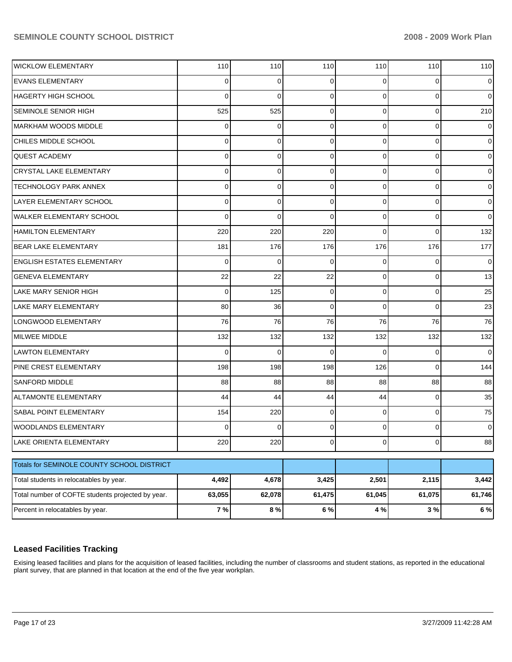| <b>WICKLOW ELEMENTARY</b>                         | 110         | 110      | 110            | 110         | 110       | 110    |
|---------------------------------------------------|-------------|----------|----------------|-------------|-----------|--------|
| <b>EVANS ELEMENTARY</b>                           | 0           | 0        | 0              | 0           | 0         | 0      |
| HAGERTY HIGH SCHOOL                               | $\Omega$    | $\Omega$ | 0              | $\Omega$    | 0         | 0      |
| <b>SEMINOLE SENIOR HIGH</b>                       | 525         | 525      | 0              | $\Omega$    | 0         | 210    |
| <b>MARKHAM WOODS MIDDLE</b>                       | 0           | 0        | 0              | $\Omega$    | 0         | 0      |
| CHILES MIDDLE SCHOOL                              | 0           | 0        | 0              | $\Omega$    | 0         | 0      |
| <b>QUEST ACADEMY</b>                              | $\Omega$    | 0        | 0              | $\Omega$    | 0         | 0      |
| <b>CRYSTAL LAKE ELEMENTARY</b>                    | $\Omega$    | 0        | 0              | $\Omega$    | 0         | 0      |
| TECHNOLOGY PARK ANNEX                             | $\Omega$    | 0        | 0              | $\Omega$    | 0         | 0      |
| LAYER ELEMENTARY SCHOOL                           | 0           | 0        | 0              | $\Omega$    | 0         | 0      |
| <b>WALKER ELEMENTARY SCHOOL</b>                   | $\Omega$    | $\Omega$ | $\Omega$       | $\Omega$    | 0         | 0      |
| <b>HAMILTON ELEMENTARY</b>                        | 220         | 220      | 220            | $\Omega$    | 0         | 132    |
| <b>BEAR LAKE ELEMENTARY</b>                       | 181         | 176      | 176            | 176         | 176       | 177    |
| <b>ENGLISH ESTATES ELEMENTARY</b>                 | $\Omega$    | 0        | 0              | $\Omega$    | 0         | 0      |
| <b>GENEVA ELEMENTARY</b>                          | 22          | 22       | 22             | $\Omega$    | 0         | 13     |
| <b>LAKE MARY SENIOR HIGH</b>                      | $\mathbf 0$ | 125      | 0              | $\Omega$    | 0         | 25     |
| LAKE MARY ELEMENTARY                              | 80          | 36       | 0              | $\Omega$    | 0         | 23     |
| LONGWOOD ELEMENTARY                               | 76          | 76       | 76             | 76          | 76        | 76     |
| <b>MILWEE MIDDLE</b>                              | 132         | 132      | 132            | 132         | 132       | 132    |
| <b>LAWTON ELEMENTARY</b>                          | $\Omega$    | $\Omega$ | 0              | $\Omega$    | 0         | 0      |
| PINE CREST ELEMENTARY                             | 198         | 198      | 198            | 126         | 0         | 144    |
| <b>SANFORD MIDDLE</b>                             | 88          | 88       | 88             | 88          | 88        | 88     |
| <b>ALTAMONTE ELEMENTARY</b>                       | 44          | 44       | 44             | 44          | 0         | 35     |
| SABAL POINT ELEMENTARY                            | 154         | 220      | 0              | $\Omega$    | 0         | 75     |
| <b>WOODLANDS ELEMENTARY</b>                       | 0           | 0        | 0              | 0           | 0         | 0      |
| LAKE ORIENTA ELEMENTARY                           | 220         | 220      | $\overline{0}$ | $\mathbf 0$ | $\pmb{0}$ | 88     |
| Totals for SEMINOLE COUNTY SCHOOL DISTRICT        |             |          |                |             |           |        |
| Total students in relocatables by year.           | 4,492       | 4,678    | 3,425          | 2,501       | 2,115     | 3,442  |
|                                                   |             |          |                |             |           |        |
| Total number of COFTE students projected by year. | 63,055      | 62,078   | 61,475         | 61,045      | 61,075    | 61,746 |
| Percent in relocatables by year.                  | 7%          | 8%       | 6 %            | 4%          | 3%        | 6 %    |

# **Leased Facilities Tracking**

Exising leased facilities and plans for the acquisition of leased facilities, including the number of classrooms and student stations, as reported in the educational plant survey, that are planned in that location at the end of the five year workplan.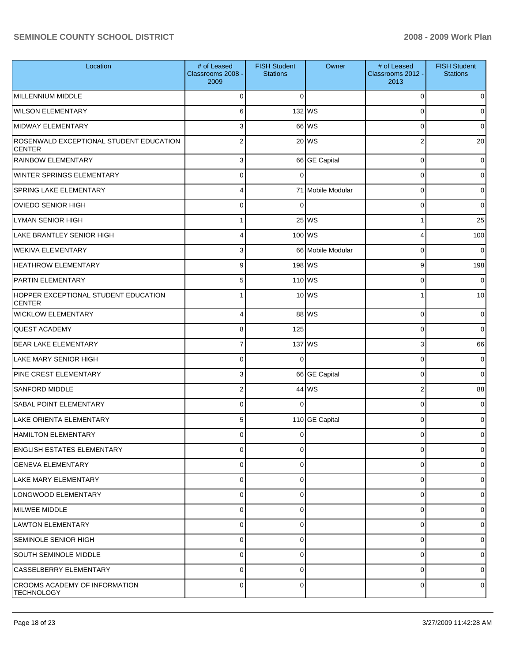| Location                                                  | # of Leased<br>Classrooms 2008 -<br>2009 | <b>FISH Student</b><br><b>Stations</b> | Owner             | # of Leased<br>Classrooms 2012 -<br>2013 | <b>FISH Student</b><br><b>Stations</b> |
|-----------------------------------------------------------|------------------------------------------|----------------------------------------|-------------------|------------------------------------------|----------------------------------------|
| MILLENNIUM MIDDLE                                         | C                                        | $\Omega$                               |                   | 0                                        | 0                                      |
| <b>WILSON ELEMENTARY</b>                                  | 6                                        |                                        | 132 WS            | 0                                        | 0                                      |
| <b>MIDWAY ELEMENTARY</b>                                  | 3                                        |                                        | 66 WS             | 0                                        | $\Omega$                               |
| ROSENWALD EXCEPTIONAL STUDENT EDUCATION<br><b>CENTER</b>  | 2                                        |                                        | 20 WS             | 2                                        | 20                                     |
| <b>RAINBOW ELEMENTARY</b>                                 | 3                                        |                                        | 66 GE Capital     | $\mathbf 0$                              | 0                                      |
| WINTER SPRINGS ELEMENTARY                                 | 0                                        | $\Omega$                               |                   | $\mathbf 0$                              | 0                                      |
| <b>SPRING LAKE ELEMENTARY</b>                             | 4                                        |                                        | 71 Mobile Modular | 0                                        | 0                                      |
| <b>OVIEDO SENIOR HIGH</b>                                 | $\mathbf 0$                              | $\Omega$                               |                   | 0                                        | 0                                      |
| <b>LYMAN SENIOR HIGH</b>                                  |                                          |                                        | 25 WS             | 1                                        | 25                                     |
| <b>LAKE BRANTLEY SENIOR HIGH</b>                          | 4                                        | 100 WS                                 |                   | 4                                        | 100                                    |
| <b>WEKIVA ELEMENTARY</b>                                  | 3                                        |                                        | 66 Mobile Modular | 0                                        | $\mathbf 0$                            |
| <b>HEATHROW ELEMENTARY</b>                                | 9                                        | 198 WS                                 |                   | 9                                        | 198                                    |
| <b>PARTIN ELEMENTARY</b>                                  | 5                                        |                                        | 110 WS            | 0                                        | 0                                      |
| HOPPER EXCEPTIONAL STUDENT EDUCATION<br><b>CENTER</b>     |                                          |                                        | 10 WS             | 1                                        | 10                                     |
| <b>WICKLOW ELEMENTARY</b>                                 | 4                                        |                                        | 88 WS             | $\mathbf 0$                              | 0                                      |
| <b>QUEST ACADEMY</b>                                      | 8                                        | 125                                    |                   | $\mathbf 0$                              | 0                                      |
| <b>BEAR LAKE ELEMENTARY</b>                               | $\overline{7}$                           |                                        | 137 WS            | 3                                        | 66                                     |
| <b>LAKE MARY SENIOR HIGH</b>                              | $\Omega$                                 | 0                                      |                   | $\mathbf 0$                              | 0                                      |
| PINE CREST ELEMENTARY                                     | 3                                        |                                        | 66 GE Capital     | $\mathbf 0$                              | $\mathbf 0$                            |
| <b>SANFORD MIDDLE</b>                                     | $\overline{2}$                           |                                        | 44 WS             | $\mathbf 2$                              | 88                                     |
| SABAL POINT ELEMENTARY                                    | 0                                        | $\Omega$                               |                   | $\mathbf 0$                              | 0                                      |
| <b>LAKE ORIENTA ELEMENTARY</b>                            | 5                                        |                                        | 110 GE Capital    | 0                                        | 0                                      |
| HAMILTON ELEMENTARY                                       |                                          | $\Omega$                               |                   |                                          | U                                      |
| <b>ENGLISH ESTATES ELEMENTARY</b>                         | $\Omega$                                 | 0                                      |                   | 0                                        | 0                                      |
| <b>GENEVA ELEMENTARY</b>                                  | $\Omega$                                 | 0                                      |                   | $\mathbf 0$                              | 0                                      |
| <b>LAKE MARY ELEMENTARY</b>                               | 0                                        | $\mathbf 0$                            |                   | $\mathbf 0$                              | 0                                      |
| LONGWOOD ELEMENTARY                                       | $\mathbf 0$                              | 0                                      |                   | 0                                        | 0                                      |
| MILWEE MIDDLE                                             | 0                                        | 0                                      |                   | 0                                        | 0                                      |
| LAWTON ELEMENTARY                                         | $\Omega$                                 | 0                                      |                   | 0                                        | 0                                      |
| <b>SEMINOLE SENIOR HIGH</b>                               | 0                                        | 0                                      |                   | $\mathbf 0$                              | 0                                      |
| <b>SOUTH SEMINOLE MIDDLE</b>                              | $\Omega$                                 | 0                                      |                   | $\mathbf 0$                              | 0                                      |
| CASSELBERRY ELEMENTARY                                    | 0                                        | 0                                      |                   | 0                                        | 0                                      |
| <b>CROOMS ACADEMY OF INFORMATION</b><br><b>TECHNOLOGY</b> | $\Omega$                                 | 0                                      |                   | 0                                        | 0                                      |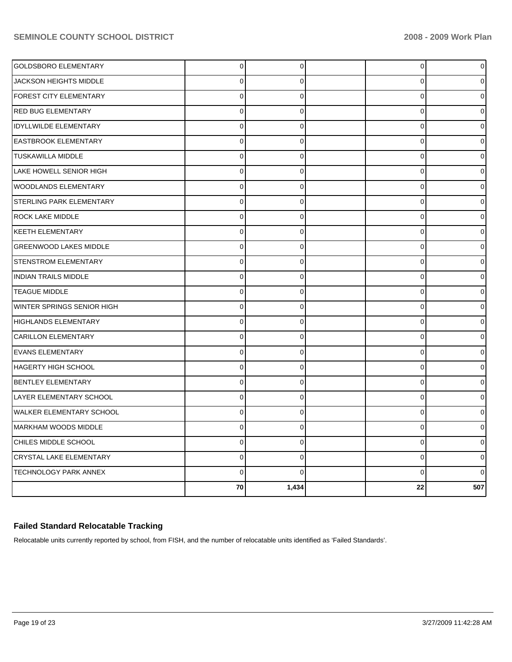| <b>GOLDSBORO ELEMENTARY</b>     | $\overline{0}$ | 0              | 0            | 0            |
|---------------------------------|----------------|----------------|--------------|--------------|
| JACKSON HEIGHTS MIDDLE          | $\Omega$       | $\Omega$       | 0            |              |
| FOREST CITY ELEMENTARY          | $\overline{0}$ | $\Omega$       | $\mathbf 0$  | ი            |
| <b>RED BUG ELEMENTARY</b>       | $\mathbf 0$    | $\mathbf 0$    | $\mathbf 0$  |              |
| <b>IDYLLWILDE ELEMENTARY</b>    | $\mathbf 0$    | 0              | 0            | ∩            |
| EASTBROOK ELEMENTARY            | $\Omega$       | $\mathbf{0}$   | 0            |              |
| TUSKAWILLA MIDDLE               | $\pmb{0}$      | $\Omega$       | 0            | ი            |
| LAKE HOWELL SENIOR HIGH         | $\mathbf 0$    | 0              | $\mathbf 0$  |              |
| WOODLANDS ELEMENTARY            | $\mathbf 0$    | $\Omega$       | $\mathbf 0$  |              |
| STERLING PARK ELEMENTARY        | $\pmb{0}$      | $\Omega$       | $\mathbf 0$  | 0            |
| <b>ROCK LAKE MIDDLE</b>         | $\mathbf 0$    | 0              | $\mathbf 0$  |              |
| <b>KEETH ELEMENTARY</b>         | $\mathbf 0$    | $\Omega$       | 0            | ∩            |
| GREENWOOD LAKES MIDDLE          | $\mathbf 0$    | $\mathbf 0$    | 0            |              |
| STENSTROM ELEMENTARY            | $\pmb{0}$      | $\Omega$       | 0            | U            |
| <b>INDIAN TRAILS MIDDLE</b>     | $\mathbf 0$    | 0              | $\mathbf 0$  |              |
| <b>TEAGUE MIDDLE</b>            | $\mathbf 0$    | $\overline{0}$ | $\mathbf 0$  |              |
| WINTER SPRINGS SENIOR HIGH      | $\pmb{0}$      | $\mathbf 0$    | $\mathbf 0$  | <sup>0</sup> |
| <b>HIGHLANDS ELEMENTARY</b>     | $\pmb{0}$      | $\mathbf 0$    | 0            |              |
| CARILLON ELEMENTARY             | $\mathbf 0$    | $\Omega$       | 0            |              |
| <b>EVANS ELEMENTARY</b>         | 0              | 0              | 0            |              |
| <b>HAGERTY HIGH SCHOOL</b>      | $\mathsf 0$    | $\mathbf 0$    | $\mathbf 0$  |              |
| <b>BENTLEY ELEMENTARY</b>       | $\mathbf 0$    | 0              | 0            |              |
| LAYER ELEMENTARY SCHOOL         | $\Omega$       | $\Omega$       | $\Omega$     |              |
| <b>WALKER ELEMENTARY SCHOOL</b> | $\mathbf 0$    | 0              | 0            | $\Omega$     |
| MARKHAM WOODS MIDDLE            | $\mathbf 0$    | 0              | 0            |              |
| CHILES MIDDLE SCHOOL            | $\mathbf 0$    | $\Omega$       | 0            |              |
| CRYSTAL LAKE ELEMENTARY         | $\mathsf 0$    | 0              | $\mathbf{0}$ | $\Omega$     |
| TECHNOLOGY PARK ANNEX           | $\Omega$       | $\Omega$       | $\mathbf{0}$ | ∩            |
|                                 | 70             | 1,434          | 22           | 507          |

# **Failed Standard Relocatable Tracking**

Relocatable units currently reported by school, from FISH, and the number of relocatable units identified as 'Failed Standards'.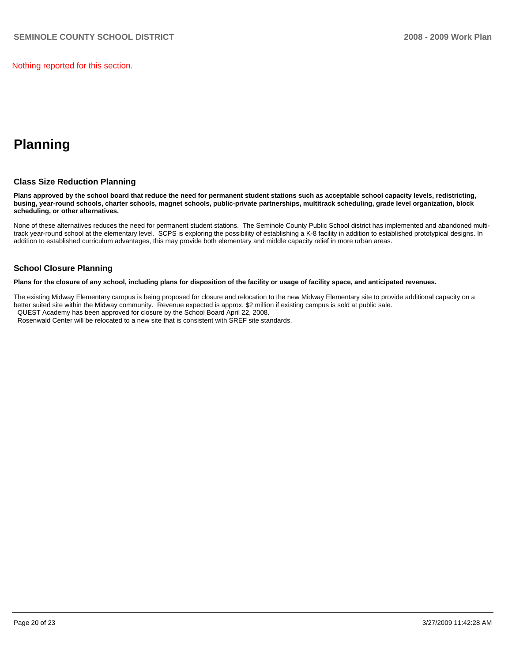Nothing reported for this section.

# **Planning**

#### **Class Size Reduction Planning**

**Plans approved by the school board that reduce the need for permanent student stations such as acceptable school capacity levels, redistricting, busing, year-round schools, charter schools, magnet schools, public-private partnerships, multitrack scheduling, grade level organization, block scheduling, or other alternatives.** 

None of these alternatives reduces the need for permanent student stations. The Seminole County Public School district has implemented and abandoned multitrack year-round school at the elementary level. SCPS is exploring the possibility of establishing a K-8 facility in addition to established prototypical designs. In addition to established curriculum advantages, this may provide both elementary and middle capacity relief in more urban areas.

#### **School Closure Planning**

**Plans for the closure of any school, including plans for disposition of the facility or usage of facility space, and anticipated revenues.** 

The existing Midway Elementary campus is being proposed for closure and relocation to the new Midway Elementary site to provide additional capacity on a better suited site within the Midway community. Revenue expected is approx. \$2 million if existing campus is sold at public sale. QUEST Academy has been approved for closure by the School Board April 22, 2008.

Rosenwald Center will be relocated to a new site that is consistent with SREF site standards.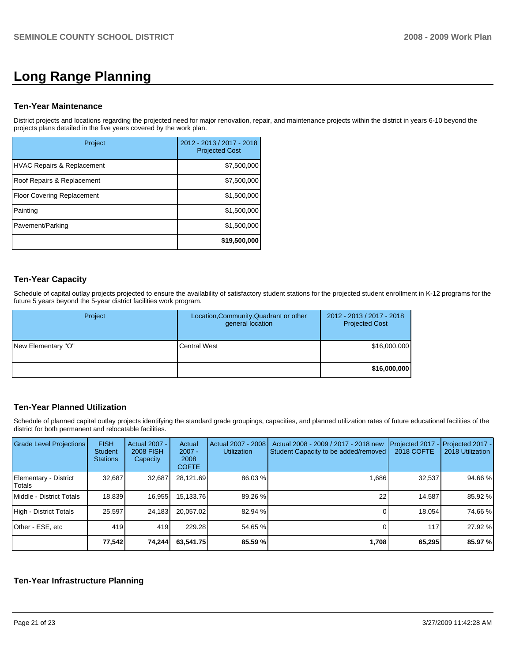# **Long Range Planning**

#### **Ten-Year Maintenance**

District projects and locations regarding the projected need for major renovation, repair, and maintenance projects within the district in years 6-10 beyond the projects plans detailed in the five years covered by the work plan.

| Project                    | 2012 - 2013 / 2017 - 2018<br><b>Projected Cost</b> |
|----------------------------|----------------------------------------------------|
| HVAC Repairs & Replacement | \$7,500,000                                        |
| Roof Repairs & Replacement | \$7,500,000                                        |
| Floor Covering Replacement | \$1,500,000                                        |
| Painting                   | \$1,500,000                                        |
| Pavement/Parking           | \$1,500,000                                        |
|                            | \$19,500,000                                       |

### **Ten-Year Capacity**

Schedule of capital outlay projects projected to ensure the availability of satisfactory student stations for the projected student enrollment in K-12 programs for the future 5 years beyond the 5-year district facilities work program.

| Project            | Location, Community, Quadrant or other<br>general location | 2012 - 2013 / 2017 - 2018<br><b>Projected Cost</b><br>\$16,000,000 |  |
|--------------------|------------------------------------------------------------|--------------------------------------------------------------------|--|
| New Elementary "O" | <b>Central West</b>                                        |                                                                    |  |
|                    |                                                            | \$16,000,000                                                       |  |

# **Ten-Year Planned Utilization**

Schedule of planned capital outlay projects identifying the standard grade groupings, capacities, and planned utilization rates of future educational facilities of the district for both permanent and relocatable facilities.

| Grade Level Projections         | <b>FISH</b><br>Student<br><b>Stations</b> | Actual 2007 -<br><b>2008 FISH</b><br>Capacity | Actual<br>$2007 -$<br>2008<br><b>COFTE</b> | Actual 2007 - 2008<br><b>Utilization</b> | Actual 2008 - 2009 / 2017 - 2018 new<br>Student Capacity to be added/removed | Projected 2017<br><b>2018 COFTE</b> | Projected 2017 -<br>2018 Utilization |
|---------------------------------|-------------------------------------------|-----------------------------------------------|--------------------------------------------|------------------------------------------|------------------------------------------------------------------------------|-------------------------------------|--------------------------------------|
| Elementary - District<br>Totals | 32,687                                    | 32,687                                        | 28,121.69                                  | 86.03 %                                  | 1,686                                                                        | 32,537                              | 94.66 %                              |
| Middle - District Totals        | 18,839                                    | 16,955                                        | 15,133.76                                  | 89.26 %                                  | 22                                                                           | 14.587                              | 85.92 %                              |
| High - District Totals          | 25,597                                    | 24,183                                        | 20.057.02                                  | 82.94 %                                  |                                                                              | 18.054                              | 74.66 %                              |
| Other - ESE, etc                | 419                                       | 419                                           | 229.28                                     | 54.65 %                                  |                                                                              | 117                                 | 27.92 %                              |
|                                 | 77,542                                    | 74,244                                        | 63,541.75                                  | 85.59 %                                  | 1,708                                                                        | 65,295                              | 85.97 %                              |

#### **Ten-Year Infrastructure Planning**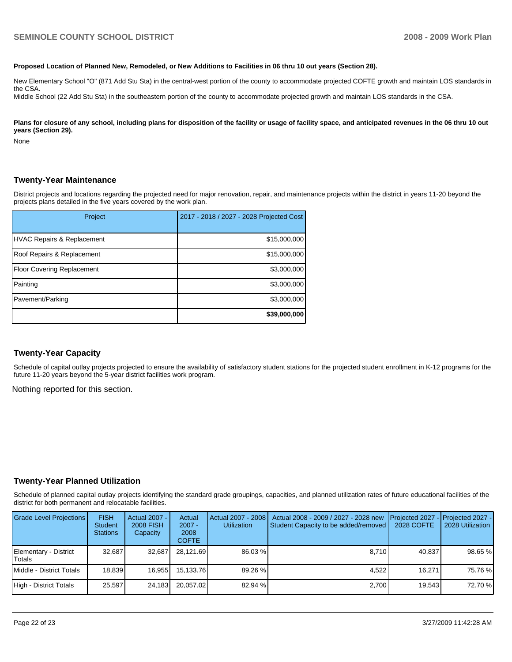#### **Proposed Location of Planned New, Remodeled, or New Additions to Facilities in 06 thru 10 out years (Section 28).**

New Elementary School "O" (871 Add Stu Sta) in the central-west portion of the county to accommodate projected COFTE growth and maintain LOS standards in the CSA.

Middle School (22 Add Stu Sta) in the southeastern portion of the county to accommodate projected growth and maintain LOS standards in the CSA.

Plans for closure of any school, including plans for disposition of the facility or usage of facility space, and anticipated revenues in the 06 thru 10 out **years (Section 29).** 

None

#### **Twenty-Year Maintenance**

District projects and locations regarding the projected need for major renovation, repair, and maintenance projects within the district in years 11-20 beyond the projects plans detailed in the five years covered by the work plan.

| Project                           | 2017 - 2018 / 2027 - 2028 Projected Cost |
|-----------------------------------|------------------------------------------|
| HVAC Repairs & Replacement        | \$15,000,000                             |
| Roof Repairs & Replacement        | \$15,000,000                             |
| <b>Floor Covering Replacement</b> | \$3,000,000                              |
| Painting                          | \$3,000,000                              |
| Pavement/Parking                  | \$3,000,000                              |
|                                   | \$39,000,000                             |

#### **Twenty-Year Capacity**

Schedule of capital outlay projects projected to ensure the availability of satisfactory student stations for the projected student enrollment in K-12 programs for the future 11-20 years beyond the 5-year district facilities work program.

Nothing reported for this section.

#### **Twenty-Year Planned Utilization**

Schedule of planned capital outlay projects identifying the standard grade groupings, capacities, and planned utilization rates of future educational facilities of the district for both permanent and relocatable facilities.

| <b>Grade Level Projections</b>  | <b>FISH</b><br><b>Student</b><br><b>Stations</b> | Actual 2007 - I<br><b>2008 FISH</b><br>Capacity | Actual<br>$2007 -$<br>2008<br><b>COFTE</b> | Actual 2007 - 2008<br><b>Utilization</b> | Actual 2008 - 2009 / 2027 - 2028 new<br>Student Capacity to be added/removed | Projected 2027 - Projected 2027 -<br>2028 COFTE | 2028 Utilization |
|---------------------------------|--------------------------------------------------|-------------------------------------------------|--------------------------------------------|------------------------------------------|------------------------------------------------------------------------------|-------------------------------------------------|------------------|
| Elementary - District<br>Totals | 32.687                                           | 32.687                                          | 28,121.69                                  | 86.03 %                                  | 8.710                                                                        | 40.837                                          | 98.65 %          |
| Middle - District Totals        | 18.839                                           | 16.955                                          | 15.133.76                                  | 89.26 %                                  | 4.522                                                                        | 16.271                                          | 75.76 %          |
| High - District Totals          | 25.597                                           | 24.183                                          | 20.057.02                                  | 82.94 %                                  | 2.700                                                                        | 19.543                                          | 72.70 %          |